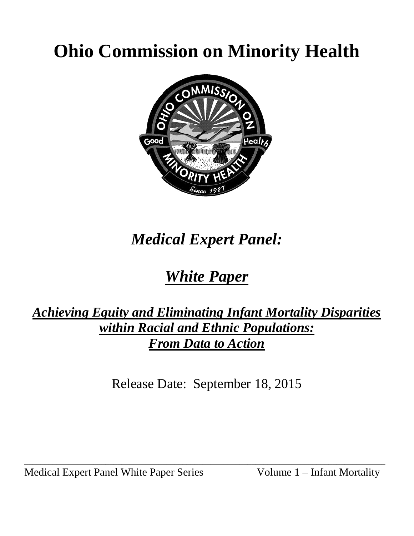# **Ohio Commission on Minority Health**



# *Medical Expert Panel:*

## *White Paper*

## *Achieving Equity and Eliminating Infant Mortality Disparities within Racial and Ethnic Populations: From Data to Action*

Release Date: September 18, 2015

\_\_\_\_\_\_\_\_\_\_\_\_\_\_\_\_\_\_\_\_\_\_\_\_\_\_\_\_\_\_\_\_\_\_\_\_\_\_\_\_\_\_\_\_\_\_\_\_\_\_\_\_\_\_\_\_\_\_\_\_\_\_\_\_\_\_\_\_\_\_\_\_\_\_\_\_\_\_\_\_\_\_\_\_\_\_\_\_\_

Medical Expert Panel White Paper Series Volume 1 – Infant Mortality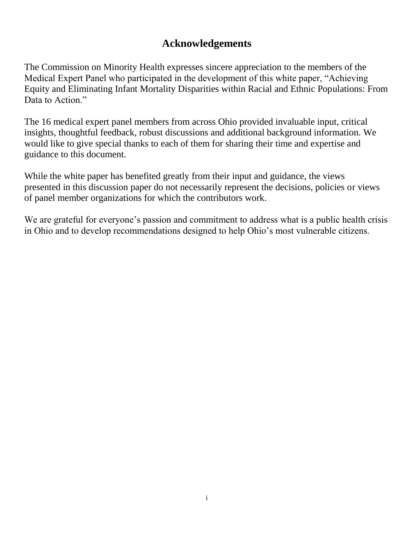### **Acknowledgements**

The Commission on Minority Health expresses sincere appreciation to the members of the Medical Expert Panel who participated in the development of this white paper, "Achieving Equity and Eliminating Infant Mortality Disparities within Racial and Ethnic Populations: From Data to Action."

The 16 medical expert panel members from across Ohio provided invaluable input, critical insights, thoughtful feedback, robust discussions and additional background information. We would like to give special thanks to each of them for sharing their time and expertise and guidance to this document.

While the white paper has benefited greatly from their input and guidance, the views presented in this discussion paper do not necessarily represent the decisions, policies or views of panel member organizations for which the contributors work.

We are grateful for everyone's passion and commitment to address what is a public health crisis in Ohio and to develop recommendations designed to help Ohio's most vulnerable citizens.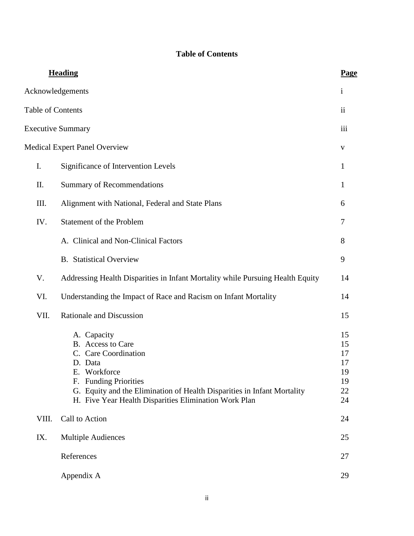#### **Table of Contents**

|                   | <b>Heading</b>                                                                                                                                                                                                                                                | Page                                         |
|-------------------|---------------------------------------------------------------------------------------------------------------------------------------------------------------------------------------------------------------------------------------------------------------|----------------------------------------------|
|                   | Acknowledgements                                                                                                                                                                                                                                              | $\mathbf{i}$                                 |
| Table of Contents |                                                                                                                                                                                                                                                               | ii                                           |
|                   | <b>Executive Summary</b>                                                                                                                                                                                                                                      | iii                                          |
|                   | <b>Medical Expert Panel Overview</b>                                                                                                                                                                                                                          | V                                            |
| I.                | Significance of Intervention Levels                                                                                                                                                                                                                           | 1                                            |
| Π.                | <b>Summary of Recommendations</b>                                                                                                                                                                                                                             | 1                                            |
| III.              | Alignment with National, Federal and State Plans                                                                                                                                                                                                              | 6                                            |
| IV.               | Statement of the Problem                                                                                                                                                                                                                                      | 7                                            |
|                   | A. Clinical and Non-Clinical Factors                                                                                                                                                                                                                          | 8                                            |
|                   | <b>B.</b> Statistical Overview                                                                                                                                                                                                                                | 9                                            |
| V.                | Addressing Health Disparities in Infant Mortality while Pursuing Health Equity                                                                                                                                                                                | 14                                           |
| VI.               | Understanding the Impact of Race and Racism on Infant Mortality                                                                                                                                                                                               | 14                                           |
| VII.              | <b>Rationale and Discussion</b>                                                                                                                                                                                                                               | 15                                           |
|                   | A. Capacity<br>B. Access to Care<br>C. Care Coordination<br>D. Data<br>Workforce<br>Е.<br><b>Funding Priorities</b><br>F.<br>G. Equity and the Elimination of Health Disparities in Infant Mortality<br>H. Five Year Health Disparities Elimination Work Plan | 15<br>15<br>17<br>17<br>19<br>19<br>22<br>24 |
| VIII.             | Call to Action                                                                                                                                                                                                                                                | 24                                           |
| IX.               | <b>Multiple Audiences</b>                                                                                                                                                                                                                                     | 25                                           |
|                   | References                                                                                                                                                                                                                                                    | 27                                           |
|                   | Appendix A                                                                                                                                                                                                                                                    | 29                                           |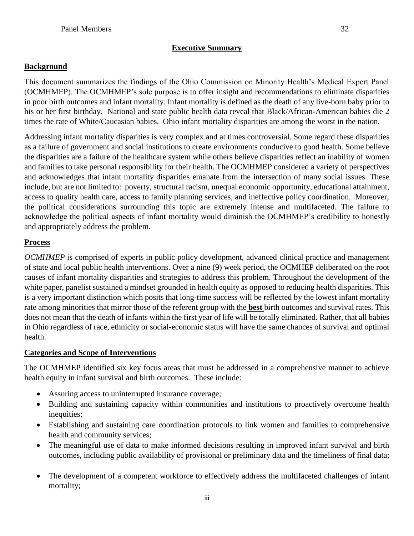#### **Background**

This document summarizes the findings of the Ohio Commission on Minority Health's Medical Expert Panel (OCMHMEP). The OCMHMEP's sole purpose is to offer insight and recommendations to eliminate disparities in poor birth outcomes and infant mortality. Infant mortality is defined as the death of any live-born baby prior to his or her first birthday. National and state public health data reveal that Black/African-American babies die 2 times the rate of White/Caucasian babies. Ohio infant mortality disparities are among the worst in the nation.

Addressing infant mortality disparities is very complex and at times controversial. Some regard these disparities as a failure of government and social institutions to create environments conducive to good health. Some believe the disparities are a failure of the healthcare system while others believe disparities reflect an inability of women and families to take personal responsibility for their health. The OCMHMEP considered a variety of perspectives and acknowledges that infant mortality disparities emanate from the intersection of many social issues. These include, but are not limited to: poverty, structural racism, unequal economic opportunity, educational attainment, access to quality health care, access to family planning services, and ineffective policy coordination. Moreover, the political considerations surrounding this topic are extremely intense and multifaceted. The failure to acknowledge the political aspects of infant mortality would diminish the OCMHMEP's credibility to honestly and appropriately address the problem.

#### **Process**

*OCMHMEP* is comprised of experts in public policy development, advanced clinical practice and management of state and local public health interventions. Over a nine (9) week period, the OCMHEP deliberated on the root causes of infant mortality disparities and strategies to address this problem. Throughout the development of the white paper, panelist sustained a mindset grounded in health equity as opposed to reducing health disparities. This is a very important distinction which posits that long-time success will be reflected by the lowest infant mortality rate among minorities that mirror those of the referent group with the **best** birth outcomes and survival rates. This does not mean that the death of infants within the first year of life will be totally eliminated. Rather, that all babies in Ohio regardless of race, ethnicity or social-economic status will have the same chances of survival and optimal health.

#### **Categories and Scope of Interventions**

The OCMHMEP identified six key focus areas that must be addressed in a comprehensive manner to achieve health equity in infant survival and birth outcomes. These include:

- Assuring access to uninterrupted insurance coverage;
- Building and sustaining capacity within communities and institutions to proactively overcome health inequities;
- Establishing and sustaining care coordination protocols to link women and families to comprehensive health and community services;
- The meaningful use of data to make informed decisions resulting in improved infant survival and birth outcomes, including public availability of provisional or preliminary data and the timeliness of final data;
- The development of a competent workforce to effectively address the multifaceted challenges of infant mortality;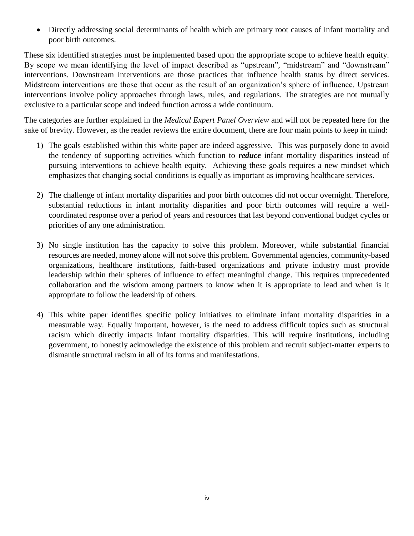Directly addressing social determinants of health which are primary root causes of infant mortality and poor birth outcomes.

These six identified strategies must be implemented based upon the appropriate scope to achieve health equity. By scope we mean identifying the level of impact described as "upstream", "midstream" and "downstream" interventions. Downstream interventions are those practices that influence health status by direct services. Midstream interventions are those that occur as the result of an organization's sphere of influence. Upstream interventions involve policy approaches through laws, rules, and regulations. The strategies are not mutually exclusive to a particular scope and indeed function across a wide continuum.

The categories are further explained in the *Medical Expert Panel Overview* and will not be repeated here for the sake of brevity. However, as the reader reviews the entire document, there are four main points to keep in mind:

- 1) The goals established within this white paper are indeed aggressive. This was purposely done to avoid the tendency of supporting activities which function to *reduce* infant mortality disparities instead of pursuing interventions to achieve health equity. Achieving these goals requires a new mindset which emphasizes that changing social conditions is equally as important as improving healthcare services.
- 2) The challenge of infant mortality disparities and poor birth outcomes did not occur overnight. Therefore, substantial reductions in infant mortality disparities and poor birth outcomes will require a wellcoordinated response over a period of years and resources that last beyond conventional budget cycles or priorities of any one administration.
- 3) No single institution has the capacity to solve this problem. Moreover, while substantial financial resources are needed, money alone will not solve this problem. Governmental agencies, community-based organizations, healthcare institutions, faith-based organizations and private industry must provide leadership within their spheres of influence to effect meaningful change. This requires unprecedented collaboration and the wisdom among partners to know when it is appropriate to lead and when is it appropriate to follow the leadership of others.
- 4) This white paper identifies specific policy initiatives to eliminate infant mortality disparities in a measurable way. Equally important, however, is the need to address difficult topics such as structural racism which directly impacts infant mortality disparities. This will require institutions, including government, to honestly acknowledge the existence of this problem and recruit subject-matter experts to dismantle structural racism in all of its forms and manifestations.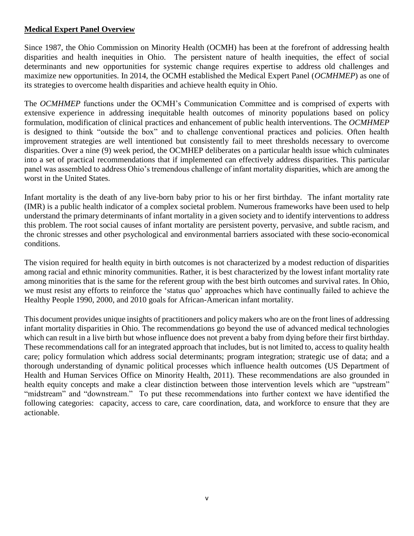#### **Medical Expert Panel Overview**

Since 1987, the Ohio Commission on Minority Health (OCMH) has been at the forefront of addressing health disparities and health inequities in Ohio. The persistent nature of health inequities, the effect of social determinants and new opportunities for systemic change requires expertise to address old challenges and maximize new opportunities. In 2014, the OCMH established the Medical Expert Panel (*OCMHMEP*) as one of its strategies to overcome health disparities and achieve health equity in Ohio.

The *OCMHMEP* functions under the OCMH's Communication Committee and is comprised of experts with extensive experience in addressing inequitable health outcomes of minority populations based on policy formulation, modification of clinical practices and enhancement of public health interventions. The *OCMHMEP* is designed to think "outside the box" and to challenge conventional practices and policies. Often health improvement strategies are well intentioned but consistently fail to meet thresholds necessary to overcome disparities. Over a nine (9) week period, the OCMHEP deliberates on a particular health issue which culminates into a set of practical recommendations that if implemented can effectively address disparities. This particular panel was assembled to address Ohio's tremendous challenge of infant mortality disparities, which are among the worst in the United States.

Infant mortality is the death of any live-born baby prior to his or her first birthday. The infant mortality rate (IMR) is a public health indicator of a complex societal problem. Numerous frameworks have been used to help understand the primary determinants of infant mortality in a given society and to identify interventions to address this problem. The root social causes of infant mortality are persistent poverty, pervasive, and subtle racism, and the chronic stresses and other psychological and environmental barriers associated with these socio-economical conditions.

The vision required for health equity in birth outcomes is not characterized by a modest reduction of disparities among racial and ethnic minority communities. Rather, it is best characterized by the lowest infant mortality rate among minorities that is the same for the referent group with the best birth outcomes and survival rates. In Ohio, we must resist any efforts to reinforce the 'status quo' approaches which have continually failed to achieve the Healthy People 1990, 2000, and 2010 goals for African-American infant mortality.

This document provides unique insights of practitioners and policy makers who are on the front lines of addressing infant mortality disparities in Ohio. The recommendations go beyond the use of advanced medical technologies which can result in a live birth but whose influence does not prevent a baby from dying before their first birthday. These recommendations call for an integrated approach that includes, but is not limited to, access to quality health care; policy formulation which address social determinants; program integration; strategic use of data; and a thorough understanding of dynamic political processes which influence health outcomes (US Department of Health and Human Services Office on Minority Health, 2011). These recommendations are also grounded in health equity concepts and make a clear distinction between those intervention levels which are "upstream" "midstream" and "downstream." To put these recommendations into further context we have identified the following categories: capacity, access to care, care coordination, data, and workforce to ensure that they are actionable.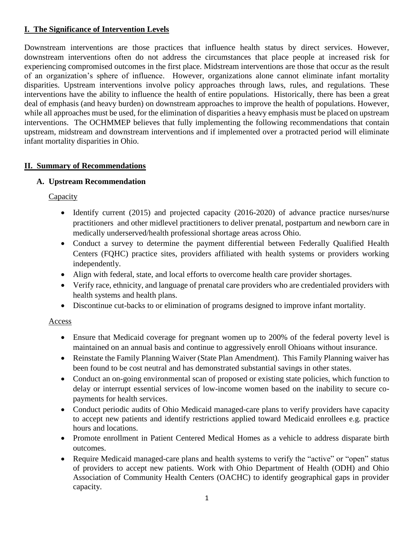#### **I. The Significance of Intervention Levels**

Downstream interventions are those practices that influence health status by direct services. However, downstream interventions often do not address the circumstances that place people at increased risk for experiencing compromised outcomes in the first place. Midstream interventions are those that occur as the result of an organization's sphere of influence. However, organizations alone cannot eliminate infant mortality disparities. Upstream interventions involve policy approaches through laws, rules, and regulations. These interventions have the ability to influence the health of entire populations. Historically, there has been a great deal of emphasis (and heavy burden) on downstream approaches to improve the health of populations. However, while all approaches must be used, for the elimination of disparities a heavy emphasis must be placed on upstream interventions. The OCHMMEP believes that fully implementing the following recommendations that contain upstream, midstream and downstream interventions and if implemented over a protracted period will eliminate infant mortality disparities in Ohio.

#### **II. Summary of Recommendations**

#### **A. Upstream Recommendation**

**Capacity** 

- Identify current (2015) and projected capacity (2016-2020) of advance practice nurses/nurse practitioners and other midlevel practitioners to deliver prenatal, postpartum and newborn care in medically underserved/health professional shortage areas across Ohio.
- Conduct a survey to determine the payment differential between Federally Qualified Health Centers (FQHC) practice sites, providers affiliated with health systems or providers working independently.
- Align with federal, state, and local efforts to overcome health care provider shortages.
- Verify race, ethnicity, and language of prenatal care providers who are credentialed providers with health systems and health plans.
- Discontinue cut-backs to or elimination of programs designed to improve infant mortality.

#### Access

- Ensure that Medicaid coverage for pregnant women up to 200% of the federal poverty level is maintained on an annual basis and continue to aggressively enroll Ohioans without insurance.
- Reinstate the Family Planning Waiver (State Plan Amendment). This Family Planning waiver has been found to be cost neutral and has demonstrated substantial savings in other states.
- Conduct an on-going environmental scan of proposed or existing state policies, which function to delay or interrupt essential services of low-income women based on the inability to secure copayments for health services.
- Conduct periodic audits of Ohio Medicaid managed-care plans to verify providers have capacity to accept new patients and identify restrictions applied toward Medicaid enrollees e.g. practice hours and locations.
- Promote enrollment in Patient Centered Medical Homes as a vehicle to address disparate birth outcomes.
- Require Medicaid managed-care plans and health systems to verify the "active" or "open" status of providers to accept new patients. Work with Ohio Department of Health (ODH) and Ohio Association of Community Health Centers (OACHC) to identify geographical gaps in provider capacity.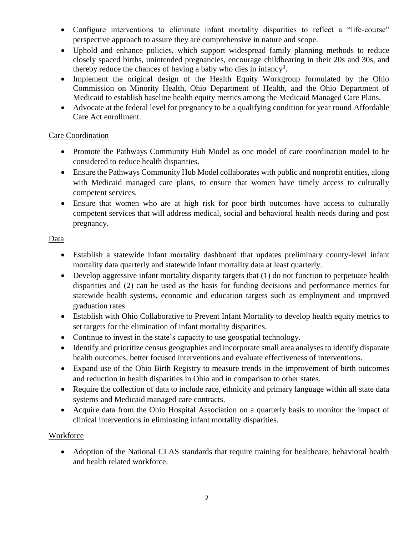- Configure interventions to eliminate infant mortality disparities to reflect a "life-course" perspective approach to assure they are comprehensive in nature and scope.
- Uphold and enhance policies, which support widespread family planning methods to reduce closely spaced births, unintended pregnancies, encourage childbearing in their 20s and 30s, and thereby reduce the chances of having a baby who dies in infancy<sup>3</sup>.
- Implement the original design of the Health Equity Workgroup formulated by the Ohio Commission on Minority Health, Ohio Department of Health, and the Ohio Department of Medicaid to establish baseline health equity metrics among the Medicaid Managed Care Plans.
- Advocate at the federal level for pregnancy to be a qualifying condition for year round Affordable Care Act enrollment.

#### Care Coordination

- Promote the Pathways Community Hub Model as one model of care coordination model to be considered to reduce health disparities.
- Ensure the Pathways Community Hub Model collaborates with public and nonprofit entities, along with Medicaid managed care plans, to ensure that women have timely access to culturally competent services.
- Ensure that women who are at high risk for poor birth outcomes have access to culturally competent services that will address medical, social and behavioral health needs during and post pregnancy.

#### Data

- Establish a statewide infant mortality dashboard that updates preliminary county-level infant mortality data quarterly and statewide infant mortality data at least quarterly.
- Develop aggressive infant mortality disparity targets that (1) do not function to perpetuate health disparities and (2) can be used as the basis for funding decisions and performance metrics for statewide health systems, economic and education targets such as employment and improved graduation rates.
- Establish with Ohio Collaborative to Prevent Infant Mortality to develop health equity metrics to set targets for the elimination of infant mortality disparities.
- Continue to invest in the state's capacity to use geospatial technology.
- Identify and prioritize census geographies and incorporate small area analyses to identify disparate health outcomes, better focused interventions and evaluate effectiveness of interventions.
- Expand use of the Ohio Birth Registry to measure trends in the improvement of birth outcomes and reduction in health disparities in Ohio and in comparison to other states.
- Require the collection of data to include race, ethnicity and primary language within all state data systems and Medicaid managed care contracts.
- Acquire data from the Ohio Hospital Association on a quarterly basis to monitor the impact of clinical interventions in eliminating infant mortality disparities.

#### **Workforce**

• Adoption of the National CLAS standards that require training for healthcare, behavioral health and health related workforce.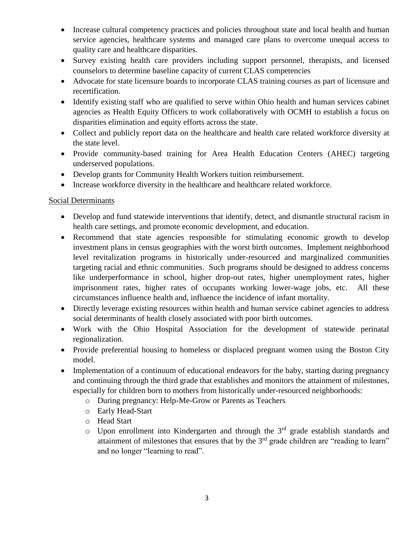- Increase cultural competency practices and policies throughout state and local health and human service agencies, healthcare systems and managed care plans to overcome unequal access to quality care and healthcare disparities.
- Survey existing health care providers including support personnel, therapists, and licensed counselors to determine baseline capacity of current CLAS competencies
- Advocate for state licensure boards to incorporate CLAS training courses as part of licensure and recertification.
- Identify existing staff who are qualified to serve within Ohio health and human services cabinet agencies as Health Equity Officers to work collaboratively with OCMH to establish a focus on disparities elimination and equity efforts across the state.
- Collect and publicly report data on the healthcare and health care related workforce diversity at the state level.
- Provide community-based training for Area Health Education Centers (AHEC) targeting underserved populations.
- Develop grants for Community Health Workers tuition reimbursement.
- Increase workforce diversity in the healthcare and healthcare related workforce.

#### Social Determinants

- Develop and fund statewide interventions that identify, detect, and dismantle structural racism in health care settings, and promote economic development, and education.
- Recommend that state agencies responsible for stimulating economic growth to develop investment plans in census geographies with the worst birth outcomes. Implement neighborhood level revitalization programs in historically under-resourced and marginalized communities targeting racial and ethnic communities. Such programs should be designed to address concerns like underperformance in school, higher drop-out rates, higher unemployment rates, higher imprisonment rates, higher rates of occupants working lower-wage jobs, etc. All these circumstances influence health and, influence the incidence of infant mortality.
- Directly leverage existing resources within health and human service cabinet agencies to address social determinants of health closely associated with poor birth outcomes.
- Work with the Ohio Hospital Association for the development of statewide perinatal regionalization.
- Provide preferential housing to homeless or displaced pregnant women using the Boston City model.
- Implementation of a continuum of educational endeavors for the baby, starting during pregnancy and continuing through the third grade that establishes and monitors the attainment of milestones, especially for children born to mothers from historically under-resourced neighborhoods:
	- o During pregnancy: Help-Me-Grow or Parents as Teachers
	- o Early Head-Start
	- o Head Start
	- $\circ$  Upon enrollment into Kindergarten and through the 3<sup>rd</sup> grade establish standards and attainment of milestones that ensures that by the  $3<sup>rd</sup>$  grade children are "reading to learn" and no longer "learning to read".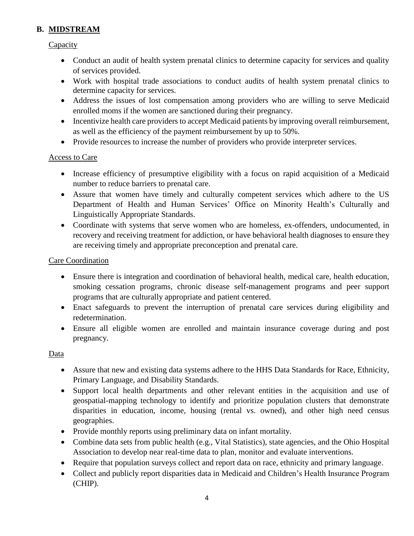#### **B. MIDSTREAM**

#### **Capacity**

- Conduct an audit of health system prenatal clinics to determine capacity for services and quality of services provided.
- Work with hospital trade associations to conduct audits of health system prenatal clinics to determine capacity for services.
- Address the issues of lost compensation among providers who are willing to serve Medicaid enrolled moms if the women are sanctioned during their pregnancy.
- Incentivize health care providers to accept Medicaid patients by improving overall reimbursement, as well as the efficiency of the payment reimbursement by up to 50%.
- Provide resources to increase the number of providers who provide interpreter services.

#### Access to Care

- Increase efficiency of presumptive eligibility with a focus on rapid acquisition of a Medicaid number to reduce barriers to prenatal care.
- Assure that women have timely and culturally competent services which adhere to the US Department of Health and Human Services' Office on Minority Health's Culturally and Linguistically Appropriate Standards.
- Coordinate with systems that serve women who are homeless, ex-offenders, undocumented, in recovery and receiving treatment for addiction, or have behavioral health diagnoses to ensure they are receiving timely and appropriate preconception and prenatal care.

#### Care Coordination

- Ensure there is integration and coordination of behavioral health, medical care, health education, smoking cessation programs, chronic disease self-management programs and peer support programs that are culturally appropriate and patient centered.
- Enact safeguards to prevent the interruption of prenatal care services during eligibility and redetermination.
- Ensure all eligible women are enrolled and maintain insurance coverage during and post pregnancy.

#### Data

- Assure that new and existing data systems adhere to the HHS Data Standards for Race, Ethnicity, Primary Language, and Disability Standards.
- Support local health departments and other relevant entities in the acquisition and use of geospatial-mapping technology to identify and prioritize population clusters that demonstrate disparities in education, income, housing (rental vs. owned), and other high need census geographies.
- Provide monthly reports using preliminary data on infant mortality.
- Combine data sets from public health (e.g., Vital Statistics), state agencies, and the Ohio Hospital Association to develop near real-time data to plan, monitor and evaluate interventions.
- Require that population surveys collect and report data on race, ethnicity and primary language.
- Collect and publicly report disparities data in Medicaid and Children's Health Insurance Program (CHIP).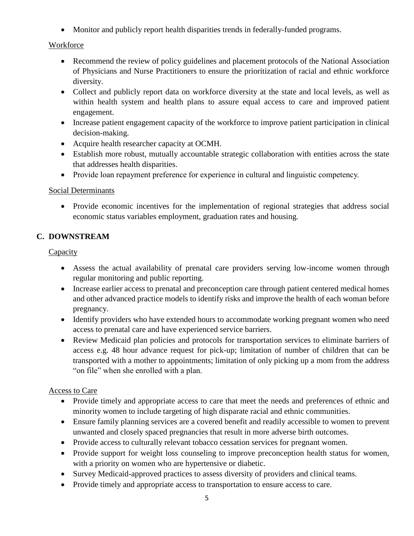Monitor and publicly report health disparities trends in federally-funded programs.

#### **Workforce**

- Recommend the review of policy guidelines and placement protocols of the National Association of Physicians and Nurse Practitioners to ensure the prioritization of racial and ethnic workforce diversity.
- Collect and publicly report data on workforce diversity at the state and local levels, as well as within health system and health plans to assure equal access to care and improved patient engagement.
- Increase patient engagement capacity of the workforce to improve patient participation in clinical decision-making.
- Acquire health researcher capacity at OCMH.
- Establish more robust, mutually accountable strategic collaboration with entities across the state that addresses health disparities.
- Provide loan repayment preference for experience in cultural and linguistic competency.

#### Social Determinants

 Provide economic incentives for the implementation of regional strategies that address social economic status variables employment, graduation rates and housing.

#### **C. DOWNSTREAM**

#### **Capacity**

- Assess the actual availability of prenatal care providers serving low-income women through regular monitoring and public reporting.
- Increase earlier access to prenatal and preconception care through patient centered medical homes and other advanced practice models to identify risks and improve the health of each woman before pregnancy.
- Identify providers who have extended hours to accommodate working pregnant women who need access to prenatal care and have experienced service barriers.
- Review Medicaid plan policies and protocols for transportation services to eliminate barriers of access e.g. 48 hour advance request for pick-up; limitation of number of children that can be transported with a mother to appointments; limitation of only picking up a mom from the address "on file" when she enrolled with a plan.

#### Access to Care

- Provide timely and appropriate access to care that meet the needs and preferences of ethnic and minority women to include targeting of high disparate racial and ethnic communities.
- Ensure family planning services are a covered benefit and readily accessible to women to prevent unwanted and closely spaced pregnancies that result in more adverse birth outcomes.
- Provide access to culturally relevant tobacco cessation services for pregnant women.
- Provide support for weight loss counseling to improve preconception health status for women, with a priority on women who are hypertensive or diabetic.
- Survey Medicaid-approved practices to assess diversity of providers and clinical teams.
- Provide timely and appropriate access to transportation to ensure access to care.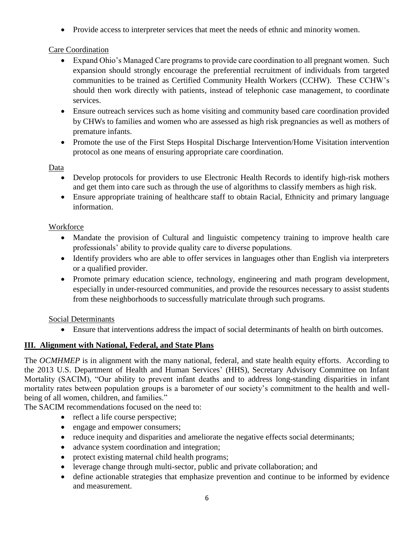• Provide access to interpreter services that meet the needs of ethnic and minority women.

#### Care Coordination

- Expand Ohio's Managed Care programs to provide care coordination to all pregnant women. Such expansion should strongly encourage the preferential recruitment of individuals from targeted communities to be trained as Certified Community Health Workers (CCHW). These CCHW's should then work directly with patients, instead of telephonic case management, to coordinate services.
- Ensure outreach services such as home visiting and community based care coordination provided by CHWs to families and women who are assessed as high risk pregnancies as well as mothers of premature infants.
- Promote the use of the First Steps Hospital Discharge Intervention/Home Visitation intervention protocol as one means of ensuring appropriate care coordination.

#### Data

- Develop protocols for providers to use Electronic Health Records to identify high-risk mothers and get them into care such as through the use of algorithms to classify members as high risk.
- Ensure appropriate training of healthcare staff to obtain Racial, Ethnicity and primary language information.

#### **Workforce**

- Mandate the provision of Cultural and linguistic competency training to improve health care professionals' ability to provide quality care to diverse populations.
- Identify providers who are able to offer services in languages other than English via interpreters or a qualified provider.
- Promote primary education science, technology, engineering and math program development, especially in under-resourced communities, and provide the resources necessary to assist students from these neighborhoods to successfully matriculate through such programs.

#### Social Determinants

Ensure that interventions address the impact of social determinants of health on birth outcomes.

#### **III. Alignment with National, Federal, and State Plans**

The *OCMHMEP* is in alignment with the many national, federal, and state health equity efforts. According to the 2013 U.S. Department of Health and Human Services' (HHS), Secretary Advisory Committee on Infant Mortality (SACIM), "Our ability to prevent infant deaths and to address long-standing disparities in infant mortality rates between population groups is a barometer of our society's commitment to the health and wellbeing of all women, children, and families."

The SACIM recommendations focused on the need to:

- reflect a life course perspective;
- engage and empower consumers;
- reduce inequity and disparities and ameliorate the negative effects social determinants;
- advance system coordination and integration;
- protect existing maternal child health programs;
- leverage change through multi-sector, public and private collaboration; and
- define actionable strategies that emphasize prevention and continue to be informed by evidence and measurement.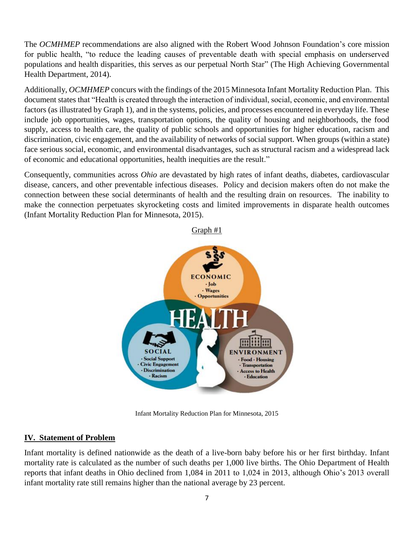The *OCMHMEP* recommendations are also aligned with the Robert Wood Johnson Foundation's core mission for public health, "to reduce the leading causes of preventable death with special emphasis on underserved populations and health disparities, this serves as our perpetual North Star" (The High Achieving Governmental Health Department, 2014).

Additionally, *OCMHMEP* concurs with the findings of the 2015 Minnesota Infant Mortality Reduction Plan. This document states that "Health is created through the interaction of individual, social, economic, and environmental factors (as illustrated by Graph 1), and in the systems, policies, and processes encountered in everyday life. These include job opportunities, wages, transportation options, the quality of housing and neighborhoods, the food supply, access to health care, the quality of public schools and opportunities for higher education, racism and discrimination, civic engagement, and the availability of networks of social support. When groups (within a state) face serious social, economic, and environmental disadvantages, such as structural racism and a widespread lack of economic and educational opportunities, health inequities are the result."

Consequently, communities across *Ohio* are devastated by high rates of infant deaths, diabetes, cardiovascular disease, cancers, and other preventable infectious diseases. Policy and decision makers often do not make the connection between these social determinants of health and the resulting drain on resources. The inability to make the connection perpetuates skyrocketing costs and limited improvements in disparate health outcomes (Infant Mortality Reduction Plan for Minnesota, 2015).



Infant Mortality Reduction Plan for Minnesota, 2015

#### **IV. Statement of Problem**

Infant mortality is defined nationwide as the death of a live-born baby before his or her first birthday. Infant mortality rate is calculated as the number of such deaths per 1,000 live births. The Ohio Department of Health reports that infant deaths in Ohio declined from 1,084 in 2011 to 1,024 in 2013, although Ohio's 2013 overall infant mortality rate still remains higher than the national average by 23 percent.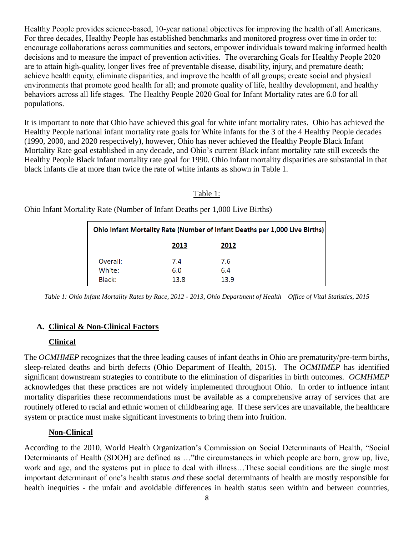Healthy People provides science-based, 10-year national objectives for improving the health of all Americans. For three decades, Healthy People has established benchmarks and monitored progress over time in order to: encourage collaborations across communities and sectors, empower individuals toward making informed health decisions and to measure the impact of prevention activities. The overarching Goals for Healthy People 2020 are to attain high-quality, longer lives free of preventable disease, disability, injury, and premature death; achieve health equity, eliminate disparities, and improve the health of all groups; create social and physical environments that promote good health for all; and promote quality of life, healthy development, and healthy behaviors across all life stages. The Healthy People 2020 Goal for Infant Mortality rates are 6.0 for all populations.

It is important to note that Ohio have achieved this goal for white infant mortality rates. Ohio has achieved the Healthy People national infant mortality rate goals for White infants for the 3 of the 4 Healthy People decades (1990, 2000, and 2020 respectively), however, Ohio has never achieved the Healthy People Black Infant Mortality Rate goal established in any decade, and Ohio's current Black infant mortality rate still exceeds the Healthy People Black infant mortality rate goal for 1990. Ohio infant mortality disparities are substantial in that black infants die at more than twice the rate of white infants as shown in Table 1.

#### Table 1:

Ohio Infant Mortality Rate (Number of Infant Deaths per 1,000 Live Births)

| Ohio Infant Mortality Rate (Number of Infant Deaths per 1,000 Live Births) |      |      |  |  |  |
|----------------------------------------------------------------------------|------|------|--|--|--|
| 2013<br>2012                                                               |      |      |  |  |  |
| Overall:                                                                   | 7.4  | 7.6  |  |  |  |
| White:                                                                     | 6.0  | 6.4  |  |  |  |
| Black:                                                                     | 13.8 | 13.9 |  |  |  |

*Table 1: Ohio Infant Mortality Rates by Race, 2012 - 2013, Ohio Department of Health – Office of Vital Statistics, 2015*

#### **A. Clinical & Non-Clinical Factors**

#### **Clinical**

The *OCMHMEP* recognizes that the three leading causes of infant deaths in Ohio are prematurity/pre-term births, sleep-related deaths and birth defects (Ohio Department of Health, 2015). The *OCMHMEP* has identified significant downstream strategies to contribute to the elimination of disparities in birth outcomes. *OCMHMEP* acknowledges that these practices are not widely implemented throughout Ohio. In order to influence infant mortality disparities these recommendations must be available as a comprehensive array of services that are routinely offered to racial and ethnic women of childbearing age. If these services are unavailable, the healthcare system or practice must make significant investments to bring them into fruition.

#### **Non-Clinical**

According to the 2010, World Health Organization's Commission on Social Determinants of Health, "Social Determinants of Health (SDOH) are defined as …"the circumstances in which people are born, grow up, live, work and age, and the systems put in place to deal with illness…These social conditions are the single most important determinant of one's health status *and* these social determinants of health are mostly responsible for health inequities - the unfair and avoidable differences in health status seen within and between countries,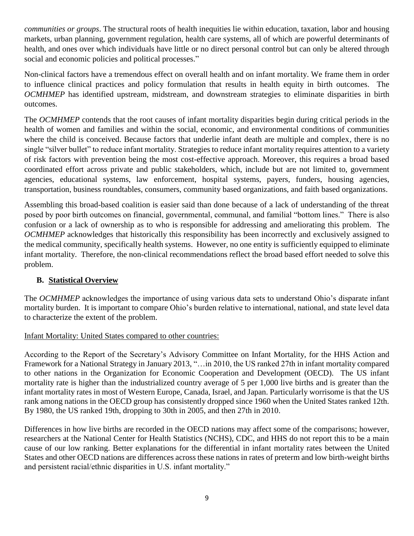*communities or groups*. The structural roots of health inequities lie within education, taxation, labor and housing markets, urban planning, government regulation, health care systems, all of which are powerful determinants of health, and ones over which individuals have little or no direct personal control but can only be altered through social and economic policies and political processes."

Non-clinical factors have a tremendous effect on overall health and on infant mortality. We frame them in order to influence clinical practices and policy formulation that results in health equity in birth outcomes. The *OCMHMEP* has identified upstream, midstream, and downstream strategies to eliminate disparities in birth outcomes.

The *OCMHMEP* contends that the root causes of infant mortality disparities begin during critical periods in the health of women and families and within the social, economic, and environmental conditions of communities where the child is conceived. Because factors that underlie infant death are multiple and complex, there is no single "silver bullet" to reduce infant mortality. Strategies to reduce infant mortality requires attention to a variety of risk factors with prevention being the most cost-effective approach. Moreover, this requires a broad based coordinated effort across private and public stakeholders, which, include but are not limited to, government agencies, educational systems, law enforcement, hospital systems, payers, funders, housing agencies, transportation, business roundtables, consumers, community based organizations, and faith based organizations.

Assembling this broad-based coalition is easier said than done because of a lack of understanding of the threat posed by poor birth outcomes on financial, governmental, communal, and familial "bottom lines." There is also confusion or a lack of ownership as to who is responsible for addressing and ameliorating this problem. The *OCMHMEP* acknowledges that historically this responsibility has been incorrectly and exclusively assigned to the medical community, specifically health systems. However, no one entity is sufficiently equipped to eliminate infant mortality. Therefore, the non-clinical recommendations reflect the broad based effort needed to solve this problem.

#### **B. Statistical Overview**

The *OCMHMEP* acknowledges the importance of using various data sets to understand Ohio's disparate infant mortality burden. It is important to compare Ohio's burden relative to international, national, and state level data to characterize the extent of the problem.

#### Infant Mortality: United States compared to other countries:

According to the Report of the Secretary's Advisory Committee on Infant Mortality, for the HHS Action and Framework for a National Strategy in January 2013, "…in 2010, the US ranked 27th in infant mortality compared to other nations in the Organization for Economic Cooperation and Development (OECD). The US infant mortality rate is higher than the industrialized country average of 5 per 1,000 live births and is greater than the infant mortality rates in most of Western Europe, Canada, Israel, and Japan. Particularly worrisome is that the US rank among nations in the OECD group has consistently dropped since 1960 when the United States ranked 12th. By 1980, the US ranked 19th, dropping to 30th in 2005, and then 27th in 2010.

Differences in how live births are recorded in the OECD nations may affect some of the comparisons; however, researchers at the National Center for Health Statistics (NCHS), CDC, and HHS do not report this to be a main cause of our low ranking. Better explanations for the differential in infant mortality rates between the United States and other OECD nations are differences across these nations in rates of preterm and low birth-weight births and persistent racial/ethnic disparities in U.S. infant mortality."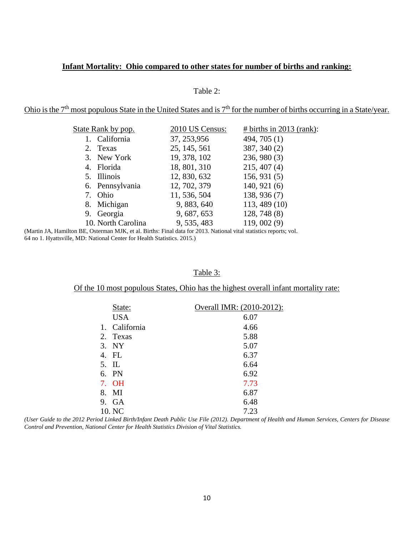#### **Infant Mortality: Ohio compared to other states for number of births and ranking:**

#### Table 2:

Ohio is the  $7<sup>th</sup>$  most populous State in the United States and is  $7<sup>th</sup>$  for the number of births occurring in a State/year.

| State Rank by pop. | 2010 US Census: | # births in $2013$ (rank): |
|--------------------|-----------------|----------------------------|
| 1. California      | 37, 253, 956    | 494, 705 (1)               |
| 2. Texas           | 25, 145, 561    | 387, 340 (2)               |
| 3. New York        | 19, 378, 102    | 236,980(3)                 |
| 4. Florida         | 18, 801, 310    | 215,407(4)                 |
| 5. Illinois        | 12, 830, 632    | 156, 931(5)                |
| 6. Pennsylvania    | 12, 702, 379    | 140, 921(6)                |
| 7. Ohio            | 11, 536, 504    | 138, 936 (7)               |
| 8. Michigan        | 9, 883, 640     | 113, 489 (10)              |
| 9. Georgia         | 9, 687, 653     | 128, 748(8)                |
| 10. North Carolina | 9, 535, 483     | 119,002(9)                 |
|                    |                 |                            |

(Martin JA, Hamilton BE, Osterman MJK, et al. Births: Final data for 2013. National vital statistics reports; vol. 64 no 1. Hyattsville, MD: National Center for Health Statistics. 2015.)

#### Table 3:

#### Of the 10 most populous States, Ohio has the highest overall infant mortality rate:

|       | State:     | Overall IMR: (2010-2012): |
|-------|------------|---------------------------|
|       | <b>USA</b> | 6.07                      |
| 1.    | California | 4.66                      |
| 2.    | Texas      | 5.88                      |
| 3.    | <b>NY</b>  | 5.07                      |
| 4.    | FL         | 6.37                      |
| 5. IL |            | 6.64                      |
|       | 6. PN      | 6.92                      |
| 7.    | <b>OH</b>  | 7.73                      |
| 8.    | MI         | 6.87                      |
|       | 9. GA      | 6.48                      |
|       | 10. NC     | 7.23                      |

*(User Guide to the 2012 Period Linked Birth/Infant Death Public Use File (2012). Department of Health and Human Services, Centers for Disease Control and Prevention, National Center for Health Statistics Division of Vital Statistics.*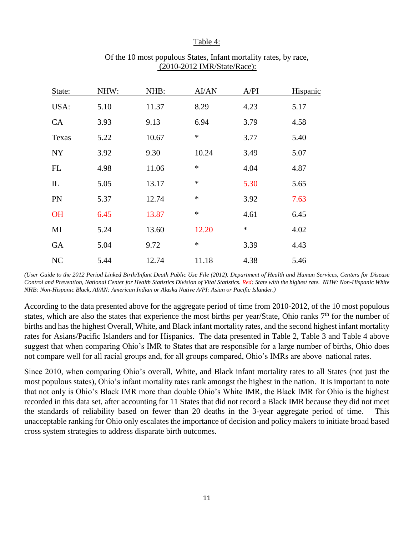#### Table 4:

| State:      | NHW: | NHB:  | AI/AN  | A/PI   | Hispanic |
|-------------|------|-------|--------|--------|----------|
| USA:        | 5.10 | 11.37 | 8.29   | 4.23   | 5.17     |
| <b>CA</b>   | 3.93 | 9.13  | 6.94   | 3.79   | 4.58     |
| Texas       | 5.22 | 10.67 | $\ast$ | 3.77   | 5.40     |
| <b>NY</b>   | 3.92 | 9.30  | 10.24  | 3.49   | 5.07     |
| FL          | 4.98 | 11.06 | $\ast$ | 4.04   | 4.87     |
| $_{\rm IL}$ | 5.05 | 13.17 | $\ast$ | 5.30   | 5.65     |
| PN          | 5.37 | 12.74 | $\ast$ | 3.92   | 7.63     |
| <b>OH</b>   | 6.45 | 13.87 | $\ast$ | 4.61   | 6.45     |
| MI          | 5.24 | 13.60 | 12.20  | $\ast$ | 4.02     |
| <b>GA</b>   | 5.04 | 9.72  | $\ast$ | 3.39   | 4.43     |
| NC          | 5.44 | 12.74 | 11.18  | 4.38   | 5.46     |

#### Of the 10 most populous States, Infant mortality rates, by race, (2010-2012 IMR/State/Race):

*(User Guide to the 2012 Period Linked Birth/Infant Death Public Use File (2012). Department of Health and Human Services, Centers for Disease Control and Prevention, National Center for Health Statistics Division of Vital Statistics. Red: State with the highest rate. NHW: Non-Hispanic White NHB: Non-Hispanic Black, AI/AN: American Indian or Alaska Native A/PI: Asian or Pacific Islander.)*

According to the data presented above for the aggregate period of time from 2010-2012, of the 10 most populous states, which are also the states that experience the most births per year/State, Ohio ranks 7<sup>th</sup> for the number of births and has the highest Overall, White, and Black infant mortality rates, and the second highest infant mortality rates for Asians/Pacific Islanders and for Hispanics. The data presented in Table 2, Table 3 and Table 4 above suggest that when comparing Ohio's IMR to States that are responsible for a large number of births, Ohio does not compare well for all racial groups and, for all groups compared, Ohio's IMRs are above national rates.

Since 2010, when comparing Ohio's overall, White, and Black infant mortality rates to all States (not just the most populous states), Ohio's infant mortality rates rank amongst the highest in the nation. It is important to note that not only is Ohio's Black IMR more than double Ohio's White IMR, the Black IMR for Ohio is the highest recorded in this data set, after accounting for 11 States that did not record a Black IMR because they did not meet the standards of reliability based on fewer than 20 deaths in the 3-year aggregate period of time. This unacceptable ranking for Ohio only escalates the importance of decision and policy makers to initiate broad based cross system strategies to address disparate birth outcomes.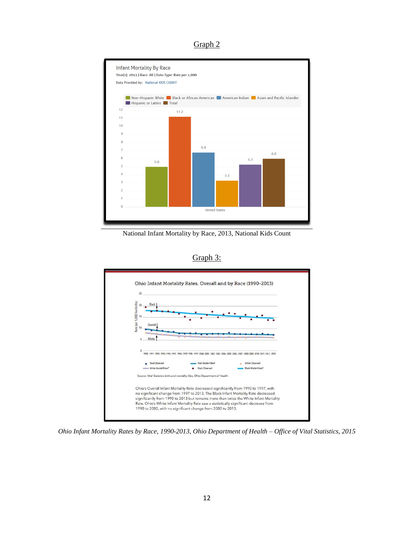Graph 2



National Infant Mortality by Race, 2013, National Kids Count





*Ohio Infant Mortality Rates by Race, 1990-2013, Ohio Department of Health – Office of Vital Statistics, 2015*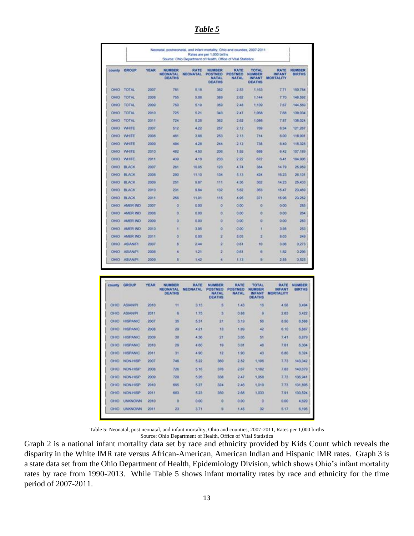*Table 5*

| Neonatal, postneonatal, and infant mortality, Ohio and counties, 2007-2011<br>Rates are per 1,000 births<br>Source: Chio Department of Health, Office of Vital Statistics |                 |      |                                            |                  |                                                           |                                               |                                                          |                                                  |                         |
|---------------------------------------------------------------------------------------------------------------------------------------------------------------------------|-----------------|------|--------------------------------------------|------------------|-----------------------------------------------------------|-----------------------------------------------|----------------------------------------------------------|--------------------------------------------------|-------------------------|
| county                                                                                                                                                                    | <b>GROUP</b>    | YEAR | NUMBER<br><b>NEONATAL</b><br><b>DEATHS</b> | RATE<br>NEONATAL | NUMBER<br><b>POSTNEO</b><br><b>NATAL</b><br><b>DEATHS</b> | <b>EATE</b><br><b>POSTNEO</b><br><b>NATAL</b> | <b>TOTAL</b><br>NUMBER<br><b>INFANT</b><br><b>DEATHS</b> | <b>RATE</b><br><b>INFANT</b><br><b>MORTALITY</b> | NUMBER<br><b>BIRTHS</b> |
| 060                                                                                                                                                                       | <b>TOTAL</b>    | 2007 | 781                                        | 5.18             | 382                                                       | 253                                           | 1,163                                                    | 7.71                                             | 150.784                 |
| <b>OH00</b>                                                                                                                                                               | <b>TOTAL</b>    | 2008 | 755                                        | 5.08             | 389                                                       | 2.62                                          | 1,144                                                    | 7.70                                             | 148,592                 |
| $O + 0O$                                                                                                                                                                  | TOTAL           | 2009 | 750                                        | 5.19             | 350                                                       | 2.48                                          | 1,109                                                    | 7.67                                             | 144,559                 |
| OHIO                                                                                                                                                                      | <b>TOTAL</b>    | 2010 | 725                                        | 6.21             | 343                                                       | 2.47                                          | 1,068                                                    | 7.68                                             | 139.034                 |
| <b>OHIO</b>                                                                                                                                                               | <b>TOTAL</b>    | 2011 | 724                                        | 5.25             | 382                                                       | 2.62                                          | 1,086                                                    | 7.87                                             | 138,024                 |
| OHIO                                                                                                                                                                      | <b>WHITE</b>    | 2007 | 512                                        | 4.22             | 257                                                       | 2.12                                          | 769                                                      | 6.34                                             | 121,267                 |
| OHIO                                                                                                                                                                      | WHITE           | 2008 | 461                                        | 3.88             | 253                                                       | 2.13                                          | 714                                                      | 5.00                                             | 118,901                 |
| OHO                                                                                                                                                                       | <b>WHITE</b>    | 2009 | 494                                        | 4.28             | 244                                                       | 2.12                                          | 738                                                      | 6.40                                             | 115.328                 |
| OHO                                                                                                                                                                       | WHITE           | 2010 | 482                                        | 4.50             | 208                                                       | 1.92                                          | 688                                                      | 6.42                                             | 107.189                 |
| $O + 8O$                                                                                                                                                                  | <b>WHITE</b>    | 2011 | 439                                        | 4.18             | 233                                                       | 2.22                                          | 672                                                      | 8.41                                             | 104,906                 |
| 0100                                                                                                                                                                      | <b>BLACK</b>    | 2007 | 261                                        | 10.05            | 123                                                       | 4.74                                          | 384                                                      | 14.79                                            | 25,959                  |
| OHOO                                                                                                                                                                      | <b>BLACK</b>    | 2008 | 290                                        | 11.10            | 134                                                       | 5.13                                          | 493                                                      | 16.23                                            | 26.131                  |
| OHOO                                                                                                                                                                      | <b>BLACK</b>    | 2009 | 251                                        | 9.87             | 111                                                       | 4.36                                          | 362                                                      | 14.23                                            | 25,433                  |
| OHO                                                                                                                                                                       | <b>BLACK</b>    | 2010 | 231                                        | 9.84             | 132                                                       | 5.62                                          | 363                                                      | 15.47                                            | 23,469                  |
| OHIO                                                                                                                                                                      | <b>BLACK</b>    | 2011 | 255                                        | 11.01            | 115                                                       | 4.95                                          | 371                                                      | 15.96                                            | 23, 252                 |
| O(60)                                                                                                                                                                     | <b>AMER IND</b> | 2007 | o                                          | 0.00             | o                                                         | 0.00                                          | ö                                                        | 0.00                                             | 285                     |
| O(40)                                                                                                                                                                     | AMER ND         | 2008 | O)                                         | 0.00             | o                                                         | 0.00                                          | ā                                                        | 0.00                                             | 264                     |
| OHO                                                                                                                                                                       | AMER IND        | 2009 | ö                                          | 0.00             | o                                                         | 0.00                                          | ō                                                        | 0.00                                             | 283                     |
| OHIO                                                                                                                                                                      | AMER IND        | 2010 | š                                          | 3.95             | o                                                         | 0.00                                          | ۹                                                        | 3.95                                             | 253                     |
| $O + 00$                                                                                                                                                                  | AMER IND        | 2011 | ٥                                          | 0.00             | 2                                                         | 8.03                                          | ž                                                        | 8.03                                             | 249                     |
| OH 9O                                                                                                                                                                     | <b>ASIAN/PI</b> | 2007 | ñ                                          | 244              | 2                                                         | 0.51                                          | 10                                                       | 3.05                                             | 3,273                   |
| OHOO                                                                                                                                                                      | <b>ASIAN/PI</b> | 2008 | a                                          | 1.21             | z                                                         | 0.61                                          | ō                                                        | 1.82                                             | 3,290                   |
| OHIO                                                                                                                                                                      | <b>ASIANIFI</b> | 2009 | 5                                          | 1.42             | ۷                                                         | 1.13                                          | 厦                                                        | 2.55                                             | 3.525                   |

| county          | GROUP                             | <b>YEAR</b> | NUMBER<br><b>NEONATAL</b><br><b>DEATHS</b> | RATE<br><b>NEONATAL</b> | NUMBER<br><b>POSTNEO</b><br><b>NATAL</b><br><b>DEATHS</b> | <b>RATE</b><br>POSTNEO<br><b>NATAL</b> | TOTAL<br><b>NUMBER</b><br><b>INFANT</b><br><b>DEATHS</b> | <b>RATE</b><br><b>INFANT</b><br><b>MORTALITY</b> | NUMBER<br><b>BIRTHS</b> |
|-----------------|-----------------------------------|-------------|--------------------------------------------|-------------------------|-----------------------------------------------------------|----------------------------------------|----------------------------------------------------------|--------------------------------------------------|-------------------------|
| C440            | <b>LEASTER</b><br><b>ASIAN/PL</b> | 2010        | Ħ                                          | 3.15                    | 5                                                         | 1.43                                   | 16                                                       | 4.58                                             | 3,494                   |
| O 100           | <b>ASIAN/PL</b>                   | 2011        | 6                                          | 1.75                    | з                                                         | 0.88                                   | ğ                                                        | 2.63                                             | 3,422                   |
| CH00            | HISPANIC                          | 2007        | 35                                         | 5.31                    | 21                                                        | 3.19                                   | 56                                                       | 8.50                                             | 6,588                   |
| O/HO            | <b>HISPANIC</b>                   | 2008        | 29                                         | 421                     | 13                                                        | 1.89                                   | 42                                                       | 6.10                                             | 6,887                   |
| OH <sub>0</sub> | <b>HISPANIC</b>                   | 2009        | 30                                         | 4.36                    | 21                                                        | 3.05                                   | 51                                                       | 7.41                                             | 6,879                   |
| <b>OHIO</b>     | <b>HISPANIC</b>                   | 2010        | 29                                         | 4.60                    | 10 <sub>1</sub>                                           | 3.01                                   | 48                                                       | 7.61                                             | 6.304                   |
| <b>CHIO</b>     | <b>HISPANIC</b>                   | 2011        | 31                                         | 4.90                    | 12                                                        | 1.90                                   | 43                                                       | 6.80                                             | 6.324                   |
| CHIC            | NON-HISP                          | 2007        | 746                                        | 5.22                    | 360                                                       | 2.82                                   | 1,105                                                    | 7.73                                             | 143.042                 |
| $O + 0O$        | NON-HISP                          | 2008        | 726                                        | 5.16                    | 376                                                       | 2.67                                   | 1.102                                                    | 7.83                                             | 140,679                 |
| $O + 0O$        | <b>NON-HISP</b>                   | 2009        | 720                                        | 5.26                    | 338                                                       | 2.47                                   | 1,053                                                    | 7.73                                             | 136,941                 |
| <b>OHIO</b>     | <b>NON-HISP</b>                   | 2010        | 695                                        | 5.27                    | 324                                                       | 2.46                                   | 1.019                                                    | 773                                              | 131,895                 |
| OHIO            | <b>NON-HISP</b>                   | 2011        | 683                                        | 5.23                    | 350                                                       | 2.68                                   | 1,033                                                    | 7.91                                             | 130,524                 |
| O(100)          | <b>UNKNOWN</b>                    | 2010        | $\alpha$                                   | 0.00                    | $\phi$                                                    | 0.00                                   | 0.0                                                      | 0.00                                             | 4,629                   |
| OHO             | <b>UNKNOWN</b>                    | 2011        | 23                                         | 3.71                    | u                                                         | 1.45                                   | 32                                                       | 5.17                                             | 6,195                   |

Table 5: Neonatal, post neonatal, and infant mortality, Ohio and counties, 2007-2011, Rates per 1,000 births Source: Ohio Department of Health, Office of Vital Statistics

Graph 2 is a national infant mortality data set by race and ethnicity provided by Kids Count which reveals the disparity in the White IMR rate versus African-American, American Indian and Hispanic IMR rates. Graph 3 is a state data set from the Ohio Department of Health, Epidemiology Division, which shows Ohio's infant mortality rates by race from 1990-2013. While Table 5 shows infant mortality rates by race and ethnicity for the time period of 2007-2011.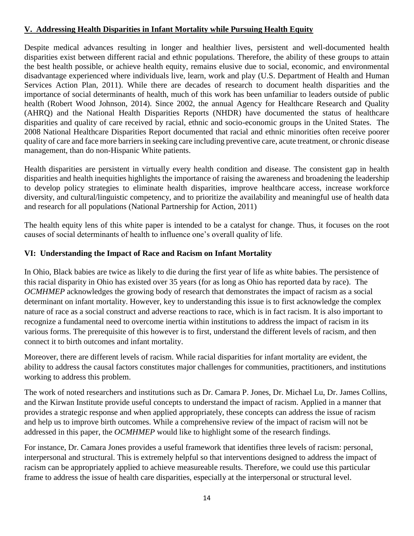#### **V. Addressing Health Disparities in Infant Mortality while Pursuing Health Equity**

Despite medical advances resulting in longer and healthier lives, persistent and well-documented health disparities exist between different racial and ethnic populations. Therefore, the ability of these groups to attain the best health possible, or achieve health equity, remains elusive due to social, economic, and environmental disadvantage experienced where individuals live, learn, work and play (U.S. Department of Health and Human Services Action Plan, 2011). While there are decades of research to document health disparities and the importance of social determinants of health, much of this work has been unfamiliar to leaders outside of public health (Robert Wood Johnson, 2014). Since 2002, the annual Agency for Healthcare Research and Quality (AHRQ) and the National Health Disparities Reports (NHDR) have documented the status of healthcare disparities and quality of care received by racial, ethnic and socio-economic groups in the United States. The 2008 National Healthcare Disparities Report documented that racial and ethnic minorities often receive poorer quality of care and face more barriers in seeking care including preventive care, acute treatment, or chronic disease management, than do non-Hispanic White patients.

Health disparities are persistent in virtually every health condition and disease. The consistent gap in health disparities and health inequities highlights the importance of raising the awareness and broadening the leadership to develop policy strategies to eliminate health disparities, improve healthcare access, increase workforce diversity, and cultural/linguistic competency, and to prioritize the availability and meaningful use of health data and research for all populations (National Partnership for Action, 2011)

The health equity lens of this white paper is intended to be a catalyst for change. Thus, it focuses on the root causes of social determinants of health to influence one's overall quality of life.

#### **VI: Understanding the Impact of Race and Racism on Infant Mortality**

In Ohio, Black babies are twice as likely to die during the first year of life as white babies. The persistence of this racial disparity in Ohio has existed over 35 years (for as long as Ohio has reported data by race). The *OCMHMEP* acknowledges the growing body of research that demonstrates the impact of racism as a social determinant on infant mortality. However, key to understanding this issue is to first acknowledge the complex nature of race as a social construct and adverse reactions to race, which is in fact racism. It is also important to recognize a fundamental need to overcome inertia within institutions to address the impact of racism in its various forms. The prerequisite of this however is to first, understand the different levels of racism, and then connect it to birth outcomes and infant mortality.

Moreover, there are different levels of racism. While racial disparities for infant mortality are evident, the ability to address the causal factors constitutes major challenges for communities, practitioners, and institutions working to address this problem.

The work of noted researchers and institutions such as Dr. Camara P. Jones, Dr. Michael Lu, Dr. James Collins, and the Kirwan Institute provide useful concepts to understand the impact of racism. Applied in a manner that provides a strategic response and when applied appropriately, these concepts can address the issue of racism and help us to improve birth outcomes. While a comprehensive review of the impact of racism will not be addressed in this paper, the *OCMHMEP* would like to highlight some of the research findings.

For instance, Dr. Camara Jones provides a useful framework that identifies three levels of racism: personal, interpersonal and structural. This is extremely helpful so that interventions designed to address the impact of racism can be appropriately applied to achieve measureable results. Therefore, we could use this particular frame to address the issue of health care disparities, especially at the interpersonal or structural level.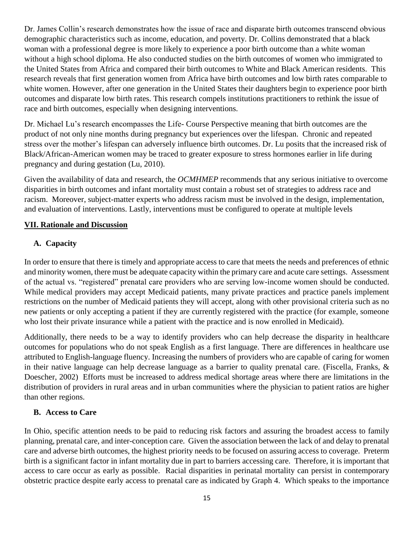Dr. James Collin's research demonstrates how the issue of race and disparate birth outcomes transcend obvious demographic characteristics such as income, education, and poverty. Dr. Collins demonstrated that a black woman with a professional degree is more likely to experience a poor birth outcome than a white woman without a high school diploma. He also conducted studies on the birth outcomes of women who immigrated to the United States from Africa and compared their birth outcomes to White and Black American residents. This research reveals that first generation women from Africa have birth outcomes and low birth rates comparable to white women. However, after one generation in the United States their daughters begin to experience poor birth outcomes and disparate low birth rates. This research compels institutions practitioners to rethink the issue of race and birth outcomes, especially when designing interventions.

Dr. Michael Lu's research encompasses the Life- Course Perspective meaning that birth outcomes are the product of not only nine months during pregnancy but experiences over the lifespan. Chronic and repeated stress over the mother's lifespan can adversely influence birth outcomes. Dr. Lu posits that the increased risk of Black/African-American women may be traced to greater exposure to stress hormones earlier in life during pregnancy and during gestation (Lu, 2010).

Given the availability of data and research, the *OCMHMEP* recommends that any serious initiative to overcome disparities in birth outcomes and infant mortality must contain a robust set of strategies to address race and racism. Moreover, subject-matter experts who address racism must be involved in the design, implementation, and evaluation of interventions. Lastly, interventions must be configured to operate at multiple levels

#### **VII. Rationale and Discussion**

#### **A. Capacity**

In order to ensure that there is timely and appropriate access to care that meets the needs and preferences of ethnic and minority women, there must be adequate capacity within the primary care and acute care settings. Assessment of the actual vs. "registered" prenatal care providers who are serving low-income women should be conducted. While medical providers may accept Medicaid patients, many private practices and practice panels implement restrictions on the number of Medicaid patients they will accept, along with other provisional criteria such as no new patients or only accepting a patient if they are currently registered with the practice (for example, someone who lost their private insurance while a patient with the practice and is now enrolled in Medicaid).

Additionally, there needs to be a way to identify providers who can help decrease the disparity in healthcare outcomes for populations who do not speak English as a first language. There are differences in healthcare use attributed to English-language fluency. Increasing the numbers of providers who are capable of caring for women in their native language can help decrease language as a barrier to quality prenatal care. (Fiscella, Franks, & Doescher, 2002) Efforts must be increased to address medical shortage areas where there are limitations in the distribution of providers in rural areas and in urban communities where the physician to patient ratios are higher than other regions.

#### **B. Access to Care**

In Ohio, specific attention needs to be paid to reducing risk factors and assuring the broadest access to family planning, prenatal care, and inter-conception care. Given the association between the lack of and delay to prenatal care and adverse birth outcomes, the highest priority needs to be focused on assuring access to coverage. Preterm birth is a significant factor in infant mortality due in part to barriers accessing care. Therefore, it is important that access to care occur as early as possible. Racial disparities in perinatal mortality can persist in contemporary obstetric practice despite early access to prenatal care as indicated by Graph 4. Which speaks to the importance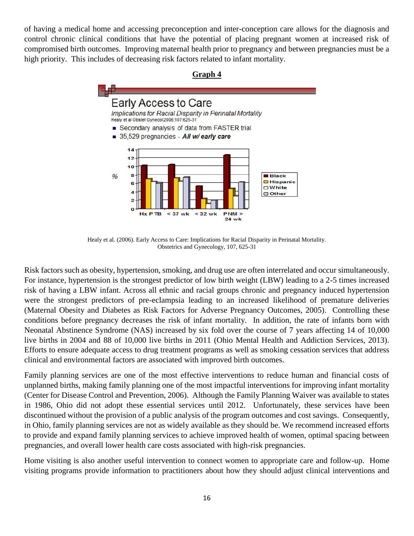of having a medical home and accessing preconception and inter-conception care allows for the diagnosis and control chronic clinical conditions that have the potential of placing pregnant women at increased risk of compromised birth outcomes. Improving maternal health prior to pregnancy and between pregnancies must be a high priority. This includes of decreasing risk factors related to infant mortality.



Healy et al. (2006). Early Access to Care: Implications for Racial Disparity in Perinatal Mortality. Obstetrics and Gynecology, 107, 625-31

Risk factors such as obesity, hypertension, smoking, and drug use are often interrelated and occur simultaneously. For instance, hypertension is the strongest predictor of low birth weight (LBW) leading to a 2-5 times increased risk of having a LBW infant. Across all ethnic and racial groups chronic and pregnancy induced hypertension were the strongest predictors of pre-eclampsia leading to an increased likelihood of premature deliveries (Maternal Obesity and Diabetes as Risk Factors for Adverse Pregnancy Outcomes, 2005). Controlling these conditions before pregnancy decreases the risk of infant mortality. In addition, the rate of infants born with Neonatal Abstinence Syndrome (NAS) increased by six fold over the course of 7 years affecting 14 of 10,000 live births in 2004 and 88 of 10,000 live births in 2011 (Ohio Mental Health and Addiction Services, 2013). Efforts to ensure adequate access to drug treatment programs as well as smoking cessation services that address clinical and environmental factors are associated with improved birth outcomes.

Family planning services are one of the most effective interventions to reduce human and financial costs of unplanned births, making family planning one of the most impactful interventions for improving infant mortality (Center for Disease Control and Prevention, 2006). Although the Family Planning Waiver was available to states in 1986, Ohio did not adopt these essential services until 2012. Unfortunately, these services have been discontinued without the provision of a public analysis of the program outcomes and cost savings. Consequently, in Ohio, family planning services are not as widely available as they should be. We recommend increased efforts to provide and expand family planning services to achieve improved health of women, optimal spacing between pregnancies, and overall lower health care costs associated with high-risk pregnancies.

Home visiting is also another useful intervention to connect women to appropriate care and follow-up. Home visiting programs provide information to practitioners about how they should adjust clinical interventions and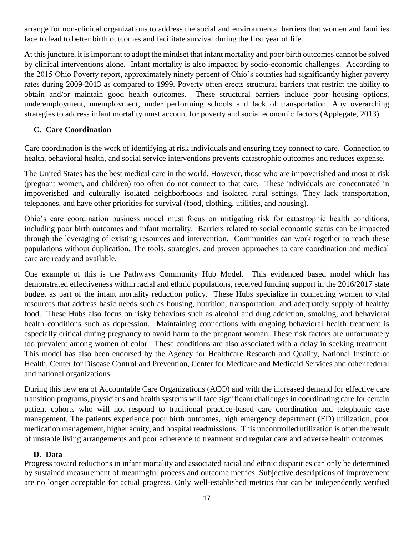arrange for non-clinical organizations to address the social and environmental barriers that women and families face to lead to better birth outcomes and facilitate survival during the first year of life.

At this juncture, it is important to adopt the mindset that infant mortality and poor birth outcomes cannot be solved by clinical interventions alone. Infant mortality is also impacted by socio-economic challenges. According to the 2015 Ohio Poverty report, approximately ninety percent of Ohio's counties had significantly higher poverty rates during 2009-2013 as compared to 1999. Poverty often erects structural barriers that restrict the ability to obtain and/or maintain good health outcomes. These structural barriers include poor housing options, underemployment, unemployment, under performing schools and lack of transportation. Any overarching strategies to address infant mortality must account for poverty and social economic factors (Applegate, 2013).

#### **C. Care Coordination**

Care coordination is the work of identifying at risk individuals and ensuring they connect to care. Connection to health, behavioral health, and social service interventions prevents catastrophic outcomes and reduces expense.

The United States has the best medical care in the world. However, those who are impoverished and most at risk (pregnant women, and children) too often do not connect to that care. These individuals are concentrated in impoverished and culturally isolated neighborhoods and isolated rural settings. They lack transportation, telephones, and have other priorities for survival (food, clothing, utilities, and housing).

Ohio's care coordination business model must focus on mitigating risk for catastrophic health conditions, including poor birth outcomes and infant mortality. Barriers related to social economic status can be impacted through the leveraging of existing resources and intervention. Communities can work together to reach these populations without duplication. The tools, strategies, and proven approaches to care coordination and medical care are ready and available.

One example of this is the Pathways Community Hub Model. This evidenced based model which has demonstrated effectiveness within racial and ethnic populations, received funding support in the 2016/2017 state budget as part of the infant mortality reduction policy. These Hubs specialize in connecting women to vital resources that address basic needs such as housing, nutrition, transportation, and adequately supply of healthy food. These Hubs also focus on risky behaviors such as alcohol and drug addiction, smoking, and behavioral health conditions such as depression. Maintaining connections with ongoing behavioral health treatment is especially critical during pregnancy to avoid harm to the pregnant woman. These risk factors are unfortunately too prevalent among women of color. These conditions are also associated with a delay in seeking treatment. This model has also been endorsed by the Agency for Healthcare Research and Quality, National Institute of Health, Center for Disease Control and Prevention, Center for Medicare and Medicaid Services and other federal and national organizations.

During this new era of Accountable Care Organizations (ACO) and with the increased demand for effective care transition programs, physicians and health systems will face significant challenges in coordinating care for certain patient cohorts who will not respond to traditional practice-based care coordination and telephonic case management. The patients experience poor birth outcomes, high emergency department (ED) utilization, poor medication management, higher acuity, and hospital readmissions. This uncontrolled utilization is often the result of unstable living arrangements and poor adherence to treatment and regular care and adverse health outcomes.

#### **D. Data**

Progress toward reductions in infant mortality and associated racial and ethnic disparities can only be determined by sustained measurement of meaningful process and outcome metrics. Subjective descriptions of improvement are no longer acceptable for actual progress. Only well-established metrics that can be independently verified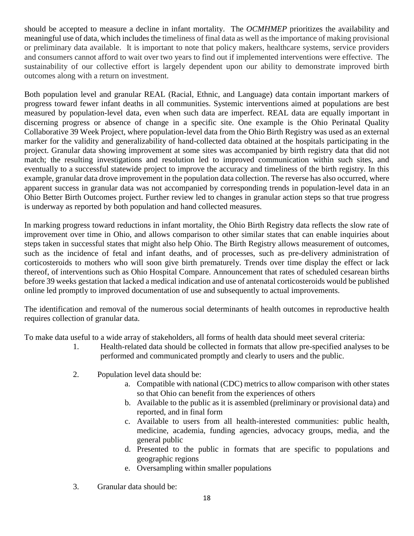should be accepted to measure a decline in infant mortality. The *OCMHMEP* prioritizes the availability and meaningful use of data, which includes the timeliness of final data as well as the importance of making provisional or preliminary data available. It is important to note that policy makers, healthcare systems, service providers and consumers cannot afford to wait over two years to find out if implemented interventions were effective. The sustainability of our collective effort is largely dependent upon our ability to demonstrate improved birth outcomes along with a return on investment.

Both population level and granular REAL (Racial, Ethnic, and Language) data contain important markers of progress toward fewer infant deaths in all communities. Systemic interventions aimed at populations are best measured by population-level data, even when such data are imperfect. REAL data are equally important in discerning progress or absence of change in a specific site. One example is the Ohio Perinatal Quality Collaborative 39 Week Project, where population-level data from the Ohio Birth Registry was used as an external marker for the validity and generalizability of hand-collected data obtained at the hospitals participating in the project. Granular data showing improvement at some sites was accompanied by birth registry data that did not match; the resulting investigations and resolution led to improved communication within such sites, and eventually to a successful statewide project to improve the accuracy and timeliness of the birth registry. In this example, granular data drove improvement in the population data collection. The reverse has also occurred, where apparent success in granular data was not accompanied by corresponding trends in population-level data in an Ohio Better Birth Outcomes project. Further review led to changes in granular action steps so that true progress is underway as reported by both population and hand collected measures.

In marking progress toward reductions in infant mortality, the Ohio Birth Registry data reflects the slow rate of improvement over time in Ohio, and allows comparison to other similar states that can enable inquiries about steps taken in successful states that might also help Ohio. The Birth Registry allows measurement of outcomes, such as the incidence of fetal and infant deaths, and of processes, such as pre-delivery administration of corticosteroids to mothers who will soon give birth prematurely. Trends over time display the effect or lack thereof, of interventions such as Ohio Hospital Compare. Announcement that rates of scheduled cesarean births before 39 weeks gestation that lacked a medical indication and use of antenatal corticosteroids would be published online led promptly to improved documentation of use and subsequently to actual improvements.

The identification and removal of the numerous social determinants of health outcomes in reproductive health requires collection of granular data.

To make data useful to a wide array of stakeholders, all forms of health data should meet several criteria:

- 1. Health-related data should be collected in formats that allow pre-specified analyses to be performed and communicated promptly and clearly to users and the public.
- 2. Population level data should be:
	- a. Compatible with national (CDC) metrics to allow comparison with other states so that Ohio can benefit from the experiences of others
	- b. Available to the public as it is assembled (preliminary or provisional data) and reported, and in final form
	- c. Available to users from all health-interested communities: public health, medicine, academia, funding agencies, advocacy groups, media, and the general public
	- d. Presented to the public in formats that are specific to populations and geographic regions
	- e. Oversampling within smaller populations
- 3. Granular data should be: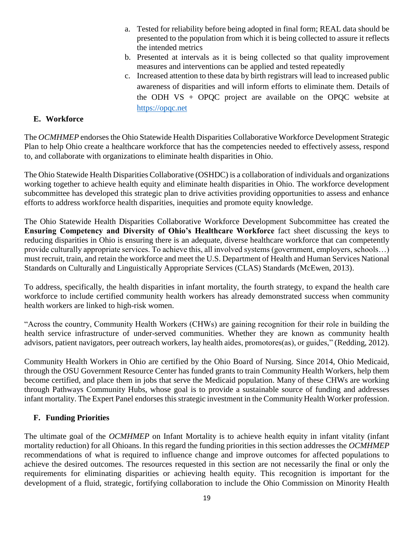- a. Tested for reliability before being adopted in final form; REAL data should be presented to the population from which it is being collected to assure it reflects the intended metrics
- b. Presented at intervals as it is being collected so that quality improvement measures and interventions can be applied and tested repeatedly
- c. Increased attention to these data by birth registrars will lead to increased public awareness of disparities and will inform efforts to eliminate them. Details of the ODH VS  $+$  OPQC project are available on the OPQC website at [https://opqc.net](https://opqc.net/)

#### **E. Workforce**

The *OCMHMEP* endorses the Ohio Statewide Health Disparities Collaborative Workforce Development Strategic Plan to help Ohio create a healthcare workforce that has the competencies needed to effectively assess, respond to, and collaborate with organizations to eliminate health disparities in Ohio.

The Ohio Statewide Health Disparities Collaborative (OSHDC) is a collaboration of individuals and organizations working together to achieve health equity and eliminate health disparities in Ohio. The workforce development subcommittee has developed this strategic plan to drive activities providing opportunities to assess and enhance efforts to address workforce health disparities, inequities and promote equity knowledge.

The Ohio Statewide Health Disparities Collaborative Workforce Development Subcommittee has created the **Ensuring Competency and Diversity of Ohio's Healthcare Workforce** fact sheet discussing the keys to reducing disparities in Ohio is ensuring there is an adequate, diverse healthcare workforce that can competently provide culturally appropriate services. To achieve this, all involved systems (government, employers, schools…) must recruit, train, and retain the workforce and meet the U.S. Department of Health and Human Services National Standards on Culturally and Linguistically Appropriate Services (CLAS) Standards (McEwen, 2013).

To address, specifically, the health disparities in infant mortality, the fourth strategy, to expand the health care workforce to include certified community health workers has already demonstrated success when community health workers are linked to high-risk women.

"Across the country, Community Health Workers (CHWs) are gaining recognition for their role in building the health service infrastructure of under-served communities. Whether they are known as community health advisors, patient navigators, peer outreach workers, lay health aides, promotores(as), or guides," (Redding, 2012).

Community Health Workers in Ohio are certified by the Ohio Board of Nursing. Since 2014, Ohio Medicaid, through the OSU Government Resource Center has funded grants to train Community Health Workers, help them become certified, and place them in jobs that serve the Medicaid population. Many of these CHWs are working through Pathways Community Hubs, whose goal is to provide a sustainable source of funding and addresses infant mortality. The Expert Panel endorses this strategic investment in the Community Health Worker profession.

#### **F. Funding Priorities**

The ultimate goal of the *OCMHMEP* on Infant Mortality is to achieve health equity in infant vitality (infant mortality reduction) for all Ohioans. In this regard the funding priorities in this section addresses the *OCMHMEP*  recommendations of what is required to influence change and improve outcomes for affected populations to achieve the desired outcomes. The resources requested in this section are not necessarily the final or only the requirements for eliminating disparities or achieving health equity. This recognition is important for the development of a fluid, strategic, fortifying collaboration to include the Ohio Commission on Minority Health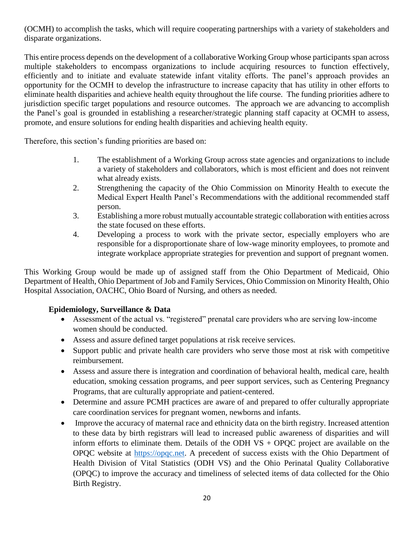(OCMH) to accomplish the tasks, which will require cooperating partnerships with a variety of stakeholders and disparate organizations.

This entire process depends on the development of a collaborative Working Group whose participants span across multiple stakeholders to encompass organizations to include acquiring resources to function effectively, efficiently and to initiate and evaluate statewide infant vitality efforts. The panel's approach provides an opportunity for the OCMH to develop the infrastructure to increase capacity that has utility in other efforts to eliminate health disparities and achieve health equity throughout the life course. The funding priorities adhere to jurisdiction specific target populations and resource outcomes. The approach we are advancing to accomplish the Panel's goal is grounded in establishing a researcher/strategic planning staff capacity at OCMH to assess, promote, and ensure solutions for ending health disparities and achieving health equity.

Therefore, this section's funding priorities are based on:

- 1. The establishment of a Working Group across state agencies and organizations to include a variety of stakeholders and collaborators, which is most efficient and does not reinvent what already exists.
- 2. Strengthening the capacity of the Ohio Commission on Minority Health to execute the Medical Expert Health Panel's Recommendations with the additional recommended staff person.
- 3. Establishing a more robust mutually accountable strategic collaboration with entities across the state focused on these efforts.
- 4. Developing a process to work with the private sector, especially employers who are responsible for a disproportionate share of low-wage minority employees, to promote and integrate workplace appropriate strategies for prevention and support of pregnant women.

This Working Group would be made up of assigned staff from the Ohio Department of Medicaid, Ohio Department of Health, Ohio Department of Job and Family Services, Ohio Commission on Minority Health, Ohio Hospital Association, OACHC, Ohio Board of Nursing, and others as needed.

#### **Epidemiology, Surveillance & Data**

- Assessment of the actual vs. "registered" prenatal care providers who are serving low-income women should be conducted.
- Assess and assure defined target populations at risk receive services.
- Support public and private health care providers who serve those most at risk with competitive reimbursement.
- Assess and assure there is integration and coordination of behavioral health, medical care, health education, smoking cessation programs, and peer support services, such as Centering Pregnancy Programs, that are culturally appropriate and patient-centered.
- Determine and assure PCMH practices are aware of and prepared to offer culturally appropriate care coordination services for pregnant women, newborns and infants.
- Improve the accuracy of maternal race and ethnicity data on the birth registry. Increased attention to these data by birth registrars will lead to increased public awareness of disparities and will inform efforts to eliminate them. Details of the ODH VS + OPQC project are available on the OPQC website at [https://opqc.net.](https://opqc.net/) A precedent of success exists with the Ohio Department of Health Division of Vital Statistics (ODH VS) and the Ohio Perinatal Quality Collaborative (OPQC) to improve the accuracy and timeliness of selected items of data collected for the Ohio Birth Registry.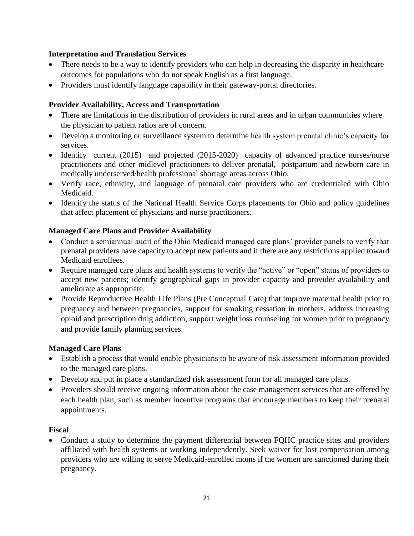#### **Interpretation and Translation Services**

- There needs to be a way to identify providers who can help in decreasing the disparity in healthcare outcomes for populations who do not speak English as a first language.
- Providers must identify language capability in their gateway-portal directories.

#### **Provider Availability, Access and Transportation**

- There are limitations in the distribution of providers in rural areas and in urban communities where the physician to patient ratios are of concern.
- Develop a monitoring or surveillance system to determine health system prenatal clinic's capacity for services.
- Identify current (2015) and projected (2015-2020) capacity of advanced practice nurses/nurse practitioners and other midlevel practitioners to deliver prenatal, postpartum and newborn care in medically underserved/health professional shortage areas across Ohio.
- Verify race, ethnicity, and language of prenatal care providers who are credentialed with Ohio Medicaid.
- Identify the status of the National Health Service Corps placements for Ohio and policy guidelines that affect placement of physicians and nurse practitioners.

#### **Managed Care Plans and Provider Availability**

- Conduct a semiannual audit of the Ohio Medicaid managed care plans' provider panels to verify that prenatal providers have capacity to accept new patients and if there are any restrictions applied toward Medicaid enrollees.
- Require managed care plans and health systems to verify the "active" or "open" status of providers to accept new patients; identify geographical gaps in provider capacity and provider availability and ameliorate as appropriate.
- Provide Reproductive Health Life Plans (Pre Conceptual Care) that improve maternal health prior to pregnancy and between pregnancies, support for smoking cessation in mothers, address increasing opioid and prescription drug addiction, support weight loss counseling for women prior to pregnancy and provide family planning services.

#### **Managed Care Plans**

- Establish a process that would enable physicians to be aware of risk assessment information provided to the managed care plans.
- Develop and put in place a standardized risk assessment form for all managed care plans.
- Providers should receive ongoing information about the case management services that are offered by each health plan, such as member incentive programs that encourage members to keep their prenatal appointments.

#### **Fiscal**

• Conduct a study to determine the payment differential between FQHC practice sites and providers affiliated with health systems or working independently. Seek waiver for lost compensation among providers who are willing to serve Medicaid-enrolled moms if the women are sanctioned during their pregnancy.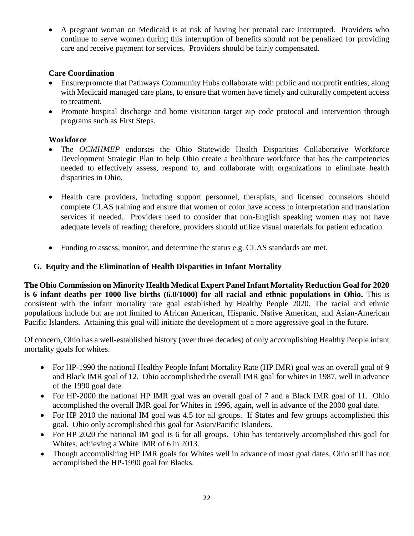A pregnant woman on Medicaid is at risk of having her prenatal care interrupted. Providers who continue to serve women during this interruption of benefits should not be penalized for providing care and receive payment for services. Providers should be fairly compensated.

#### **Care Coordination**

- Ensure/promote that Pathways Community Hubs collaborate with public and nonprofit entities, along with Medicaid managed care plans, to ensure that women have timely and culturally competent access to treatment.
- Promote hospital discharge and home visitation target zip code protocol and intervention through programs such as First Steps.

#### **Workforce**

- The *OCMHMEP* endorses the Ohio Statewide Health Disparities Collaborative Workforce Development Strategic Plan to help Ohio create a healthcare workforce that has the competencies needed to effectively assess, respond to, and collaborate with organizations to eliminate health disparities in Ohio.
- Health care providers, including support personnel, therapists, and licensed counselors should complete CLAS training and ensure that women of color have access to interpretation and translation services if needed. Providers need to consider that non-English speaking women may not have adequate levels of reading; therefore, providers should utilize visual materials for patient education.
- Funding to assess, monitor, and determine the status e.g. CLAS standards are met.

#### **G. Equity and the Elimination of Health Disparities in Infant Mortality**

**The Ohio Commission on Minority Health Medical Expert Panel Infant Mortality Reduction Goal for 2020 is 6 infant deaths per 1000 live births (6.0/1000) for all racial and ethnic populations in Ohio.** This is consistent with the infant mortality rate goal established by Healthy People 2020. The racial and ethnic populations include but are not limited to African American, Hispanic, Native American, and Asian-American Pacific Islanders. Attaining this goal will initiate the development of a more aggressive goal in the future.

Of concern, Ohio has a well-established history (over three decades) of only accomplishing Healthy People infant mortality goals for whites.

- For HP-1990 the national Healthy People Infant Mortality Rate (HP IMR) goal was an overall goal of 9 and Black IMR goal of 12. Ohio accomplished the overall IMR goal for whites in 1987, well in advance of the 1990 goal date.
- For HP-2000 the national HP IMR goal was an overall goal of 7 and a Black IMR goal of 11. Ohio accomplished the overall IMR goal for Whites in 1996, again, well in advance of the 2000 goal date.
- For HP 2010 the national IM goal was 4.5 for all groups. If States and few groups accomplished this goal. Ohio only accomplished this goal for Asian/Pacific Islanders.
- For HP 2020 the national IM goal is 6 for all groups. Ohio has tentatively accomplished this goal for Whites, achieving a White IMR of 6 in 2013.
- Though accomplishing HP IMR goals for Whites well in advance of most goal dates, Ohio still has not accomplished the HP-1990 goal for Blacks.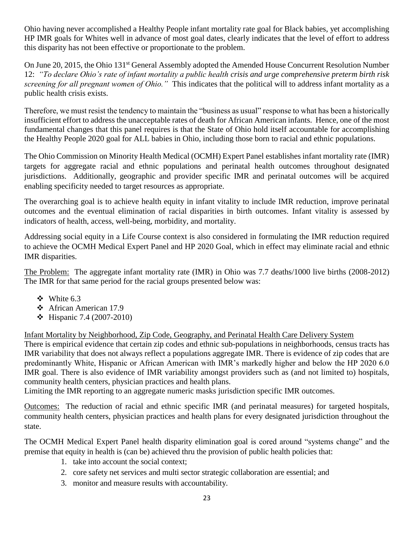Ohio having never accomplished a Healthy People infant mortality rate goal for Black babies, yet accomplishing HP IMR goals for Whites well in advance of most goal dates, clearly indicates that the level of effort to address this disparity has not been effective or proportionate to the problem.

On June 20, 2015, the Ohio 131<sup>st</sup> General Assembly adopted the Amended House Concurrent Resolution Number 12: *"To declare Ohio's rate of infant mortality a public health crisis and urge comprehensive preterm birth risk screening for all pregnant women of Ohio."* This indicates that the political will to address infant mortality as a public health crisis exists.

Therefore, we must resist the tendency to maintain the "business as usual" response to what has been a historically insufficient effort to address the unacceptable rates of death for African American infants. Hence, one of the most fundamental changes that this panel requires is that the State of Ohio hold itself accountable for accomplishing the Healthy People 2020 goal for ALL babies in Ohio, including those born to racial and ethnic populations.

The Ohio Commission on Minority Health Medical (OCMH) Expert Panel establishes infant mortality rate (IMR) targets for aggregate racial and ethnic populations and perinatal health outcomes throughout designated jurisdictions. Additionally, geographic and provider specific IMR and perinatal outcomes will be acquired enabling specificity needed to target resources as appropriate.

The overarching goal is to achieve health equity in infant vitality to include IMR reduction, improve perinatal outcomes and the eventual elimination of racial disparities in birth outcomes. Infant vitality is assessed by indicators of health, access, well-being, morbidity, and mortality.

Addressing social equity in a Life Course context is also considered in formulating the IMR reduction required to achieve the OCMH Medical Expert Panel and HP 2020 Goal, which in effect may eliminate racial and ethnic IMR disparities.

The Problem: The aggregate infant mortality rate (IMR) in Ohio was 7.7 deaths/1000 live births (2008-2012) The IMR for that same period for the racial groups presented below was:

- $\div$  White 6.3
- African American 17.9
- $\div$  Hispanic 7.4 (2007-2010)

Infant Mortality by Neighborhood, Zip Code, Geography, and Perinatal Health Care Delivery System

There is empirical evidence that certain zip codes and ethnic sub-populations in neighborhoods, census tracts has IMR variability that does not always reflect a populations aggregate IMR. There is evidence of zip codes that are predominantly White, Hispanic or African American with IMR's markedly higher and below the HP 2020 6.0 IMR goal. There is also evidence of IMR variability amongst providers such as (and not limited to) hospitals, community health centers, physician practices and health plans.

Limiting the IMR reporting to an aggregate numeric masks jurisdiction specific IMR outcomes.

Outcomes: The reduction of racial and ethnic specific IMR (and perinatal measures) for targeted hospitals, community health centers, physician practices and health plans for every designated jurisdiction throughout the state.

The OCMH Medical Expert Panel health disparity elimination goal is cored around "systems change" and the premise that equity in health is (can be) achieved thru the provision of public health policies that:

- 1. take into account the social context;
- 2. core safety net services and multi sector strategic collaboration are essential; and
- 3. monitor and measure results with accountability.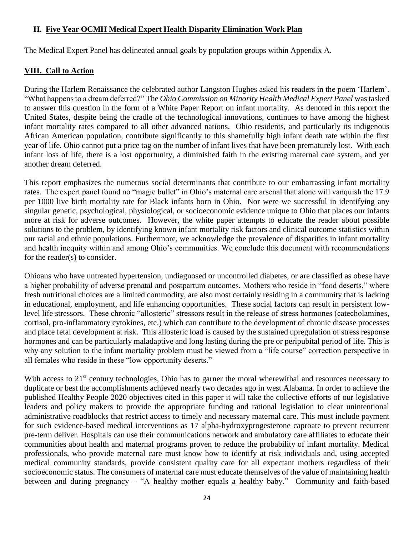#### **H. Five Year OCMH Medical Expert Health Disparity Elimination Work Plan**

The Medical Expert Panel has delineated annual goals by population groups within Appendix A.

#### **VIII. Call to Action**

During the Harlem Renaissance the celebrated author Langston Hughes asked his readers in the poem 'Harlem'. "What happens to a dream deferred?" The *Ohio Commission on Minority Health Medical Expert Panel* was tasked to answer this question in the form of a White Paper Report on infant mortality. As denoted in this report the United States, despite being the cradle of the technological innovations, continues to have among the highest infant mortality rates compared to all other advanced nations. Ohio residents, and particularly its indigenous African American population, contribute significantly to this shamefully high infant death rate within the first year of life. Ohio cannot put a price tag on the number of infant lives that have been prematurely lost. With each infant loss of life, there is a lost opportunity, a diminished faith in the existing maternal care system, and yet another dream deferred.

This report emphasizes the numerous social determinants that contribute to our embarrassing infant mortality rates. The expert panel found no "magic bullet" in Ohio's maternal care arsenal that alone will vanquish the 17.9 per 1000 live birth mortality rate for Black infants born in Ohio. Nor were we successful in identifying any singular genetic, psychological, physiological, or socioeconomic evidence unique to Ohio that places our infants more at risk for adverse outcomes. However, the white paper attempts to educate the reader about possible solutions to the problem, by identifying known infant mortality risk factors and clinical outcome statistics within our racial and ethnic populations. Furthermore, we acknowledge the prevalence of disparities in infant mortality and health inequity within and among Ohio's communities. We conclude this document with recommendations for the reader(s) to consider.

Ohioans who have untreated hypertension, undiagnosed or uncontrolled diabetes, or are classified as obese have a higher probability of adverse prenatal and postpartum outcomes. Mothers who reside in "food deserts," where fresh nutritional choices are a limited commodity, are also most certainly residing in a community that is lacking in educational, employment, and life enhancing opportunities. These social factors can result in persistent lowlevel life stressors. These chronic "allosteric" stressors result in the release of stress hormones (catecholamines, cortisol, pro-inflammatory cytokines, etc.) which can contribute to the development of chronic disease processes and place fetal development at risk. This allosteric load is caused by the sustained upregulation of stress response hormones and can be particularly maladaptive and long lasting during the pre or peripubital period of life. This is why any solution to the infant mortality problem must be viewed from a "life course" correction perspective in all females who reside in these "low opportunity deserts."

With access to 21<sup>st</sup> century technologies, Ohio has to garner the moral wherewithal and resources necessary to duplicate or best the accomplishments achieved nearly two decades ago in west Alabama. In order to achieve the published Healthy People 2020 objectives cited in this paper it will take the collective efforts of our legislative leaders and policy makers to provide the appropriate funding and rational legislation to clear unintentional administrative roadblocks that restrict access to timely and necessary maternal care. This must include payment for such evidence-based medical interventions as 17 alpha-hydroxyprogesterone caproate to prevent recurrent pre-term deliver. Hospitals can use their communications network and ambulatory care affiliates to educate their communities about health and maternal programs proven to reduce the probability of infant mortality. Medical professionals, who provide maternal care must know how to identify at risk individuals and, using accepted medical community standards, provide consistent quality care for all expectant mothers regardless of their socioeconomic status. The consumers of maternal care must educate themselves of the value of maintaining health between and during pregnancy – "A healthy mother equals a healthy baby." Community and faith-based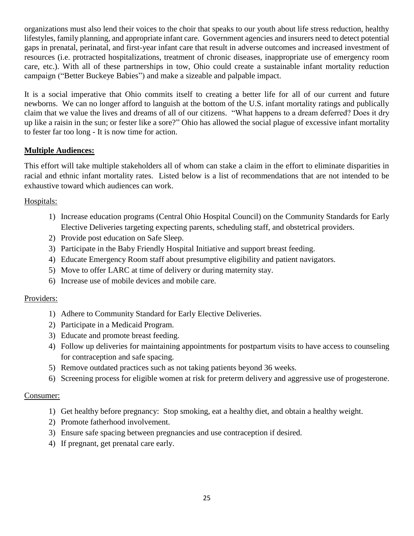organizations must also lend their voices to the choir that speaks to our youth about life stress reduction, healthy lifestyles, family planning, and appropriate infant care. Government agencies and insurers need to detect potential gaps in prenatal, perinatal, and first-year infant care that result in adverse outcomes and increased investment of resources (i.e. protracted hospitalizations, treatment of chronic diseases, inappropriate use of emergency room care, etc.). With all of these partnerships in tow, Ohio could create a sustainable infant mortality reduction campaign ("Better Buckeye Babies") and make a sizeable and palpable impact.

It is a social imperative that Ohio commits itself to creating a better life for all of our current and future newborns. We can no longer afford to languish at the bottom of the U.S. infant mortality ratings and publically claim that we value the lives and dreams of all of our citizens. "What happens to a dream deferred? Does it dry up like a raisin in the sun; or fester like a sore?" Ohio has allowed the social plague of excessive infant mortality to fester far too long - It is now time for action.

#### **Multiple Audiences:**

This effort will take multiple stakeholders all of whom can stake a claim in the effort to eliminate disparities in racial and ethnic infant mortality rates. Listed below is a list of recommendations that are not intended to be exhaustive toward which audiences can work.

#### Hospitals:

- 1) Increase education programs (Central Ohio Hospital Council) on the Community Standards for Early Elective Deliveries targeting expecting parents, scheduling staff, and obstetrical providers.
- 2) Provide post education on Safe Sleep.
- 3) Participate in the Baby Friendly Hospital Initiative and support breast feeding.
- 4) Educate Emergency Room staff about presumptive eligibility and patient navigators.
- 5) Move to offer LARC at time of delivery or during maternity stay.
- 6) Increase use of mobile devices and mobile care.

#### Providers:

- 1) Adhere to Community Standard for Early Elective Deliveries.
- 2) Participate in a Medicaid Program.
- 3) Educate and promote breast feeding.
- 4) Follow up deliveries for maintaining appointments for postpartum visits to have access to counseling for contraception and safe spacing.
- 5) Remove outdated practices such as not taking patients beyond 36 weeks.
- 6) Screening process for eligible women at risk for preterm delivery and aggressive use of progesterone.

#### Consumer:

- 1) Get healthy before pregnancy: Stop smoking, eat a healthy diet, and obtain a healthy weight.
- 2) Promote fatherhood involvement.
- 3) Ensure safe spacing between pregnancies and use contraception if desired.
- 4) If pregnant, get prenatal care early.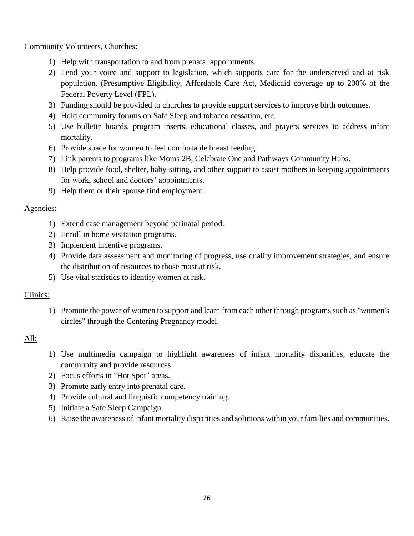Community Volunteers, Churches:

- 1) Help with transportation to and from prenatal appointments.
- 2) Lend your voice and support to legislation, which supports care for the underserved and at risk population. (Presumptive Eligibility, Affordable Care Act, Medicaid coverage up to 200% of the Federal Poverty Level (FPL).
- 3) Funding should be provided to churches to provide support services to improve birth outcomes.
- 4) Hold community forums on Safe Sleep and tobacco cessation, etc.
- 5) Use bulletin boards, program inserts, educational classes, and prayers services to address infant mortality.
- 6) Provide space for women to feel comfortable breast feeding.
- 7) Link parents to programs like Moms 2B, Celebrate One and Pathways Community Hubs.
- 8) Help provide food, shelter, baby-sitting, and other support to assist mothers in keeping appointments for work, school and doctors' appointments.
- 9) Help them or their spouse find employment.

#### Agencies:

- 1) Extend case management beyond perinatal period.
- 2) Enroll in home visitation programs.
- 3) Implement incentive programs.
- 4) Provide data assessment and monitoring of progress, use quality improvement strategies, and ensure the distribution of resources to those most at risk.
- 5) Use vital statistics to identify women at risk.

#### Clinics:

1) Promote the power of women to support and learn from each other through programs such as "women's circles" through the Centering Pregnancy model.

#### All:

- 1) Use multimedia campaign to highlight awareness of infant mortality disparities, educate the community and provide resources.
- 2) Focus efforts in "Hot Spot" areas.
- 3) Promote early entry into prenatal care.
- 4) Provide cultural and linguistic competency training.
- 5) Initiate a Safe Sleep Campaign.
- 6) Raise the awareness of infant mortality disparities and solutions within your families and communities.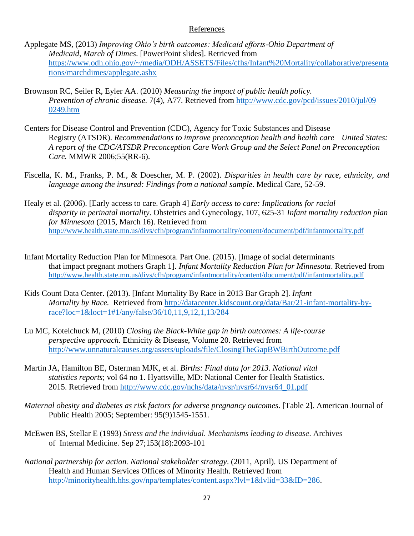#### References

- Applegate MS, (2013) *Improving Ohio's birth outcomes: Medicaid efforts-Ohio Department of Medicaid, March of Dimes*. [PowerPoint slides]. Retrieved from [https://www.odh.ohio.gov/~/media/ODH/ASSETS/Files/cfhs/Infant%20Mortality/collaborative/presenta](https://www.odh.ohio.gov/~/media/ODH/ASSETS/Files/cfhs/Infant%20Mortality/collaborative/presentations/marchdimes/applegate.ashx) [tions/marchdimes/applegate.ashx](https://www.odh.ohio.gov/~/media/ODH/ASSETS/Files/cfhs/Infant%20Mortality/collaborative/presentations/marchdimes/applegate.ashx)
- Brownson RC, Seiler R, Eyler AA. (2010) *Measuring the impact of public health policy. Prevention of chronic disease.* 7(4), A77. Retrieved from [http://www.cdc.gov/pcd/issues/2010/jul/09](http://www.cdc.gov/pcd/issues/2010/jul/09%200249.htm)  [0249.htm](http://www.cdc.gov/pcd/issues/2010/jul/09%200249.htm)
- Centers for Disease Control and Prevention (CDC), Agency for Toxic Substances and Disease Registry (ATSDR). *Recommendations to improve preconception health and health care—United States: A report of the CDC/ATSDR Preconception Care Work Group and the Select Panel on Preconception Care.* MMWR 2006;55(RR-6).
- Fiscella, K. M., Franks, P. M., & Doescher, M. P. (2002). *Disparities in health care by race, ethnicity, and language among the insured: Findings from a national sample*. Medical Care, 52-59.
- Healy et al. (2006). [Early access to care. Graph 4] *Early access to care: Implications for racial disparity in perinatal mortality*. Obstetrics and Gynecology, 107, 625-31 *Infant mortality reduction plan for Minnesota* (2015, March 16). Retrieved from <http://www.health.state.mn.us/divs/cfh/program/infantmortality/content/document/pdf/infantmortality.pdf>
- Infant Mortality Reduction Plan for Minnesota. Part One. (2015). [Image of social determinants that impact pregnant mothers Graph 1]. *Infant Mortality Reduction Plan for Minnesota*. Retrieved from <http://www.health.state.mn.us/divs/cfh/program/infantmortality/content/document/pdf/infantmortality.pdf>
- Kids Count Data Center. (2013). [Infant Mortality By Race in 2013 Bar Graph 2]. *Infant Mortality by Race.* Retrieved from [http://datacenter.kidscount.org/data/Bar/21-infant-mortality-by](http://datacenter.kidscount.org/data/Bar/21-infant-mortality-by-race?loc=1&loct=1#1/any/false/36/10,11,9,12,1,13/284)[race?loc=1&loct=1#1/any/false/36/10,11,9,12,1,13/284](http://datacenter.kidscount.org/data/Bar/21-infant-mortality-by-race?loc=1&loct=1#1/any/false/36/10,11,9,12,1,13/284)
- Lu MC, Kotelchuck M, (2010) *Closing the Black-White gap in birth outcomes: A life-course perspective approach.* Ethnicity & Disease, Volume 20. Retrieved from <http://www.unnaturalcauses.org/assets/uploads/file/ClosingTheGapBWBirthOutcome.pdf>
- Martin JA, Hamilton BE, Osterman MJK, et al. *Births: Final data for 2013. National vital statistics reports*; vol 64 no 1. Hyattsville, MD: National Center for Health Statistics. 2015. Retrieved from [http://www.cdc.gov/nchs/data/nvsr/nvsr64/nvsr64\\_01.pdf](http://www.cdc.gov/nchs/data/nvsr/nvsr64/nvsr64_01.pdf)
- *Maternal obesity and diabetes as risk factors for adverse pregnancy outcomes*. [Table 2]. American Journal of Public Health 2005; September: 95(9)1545-1551.
- McEwen BS, Stellar E (1993) *Stress and the individual. Mechanisms leading to disease*. Archives of Internal Medicine. Sep 27;153(18):2093-101
- *National partnership for action. National stakeholder strategy*. (2011, April). US Department of Health and Human Services Offices of Minority Health. Retrieved from [http://minorityhealth.hhs.gov/npa/templates/content.aspx?lvl=1&lvlid=33&ID=286.](http://minorityhealth.hhs.gov/npa/templates/content.aspx?lvl=1&lvlid=33&ID=286)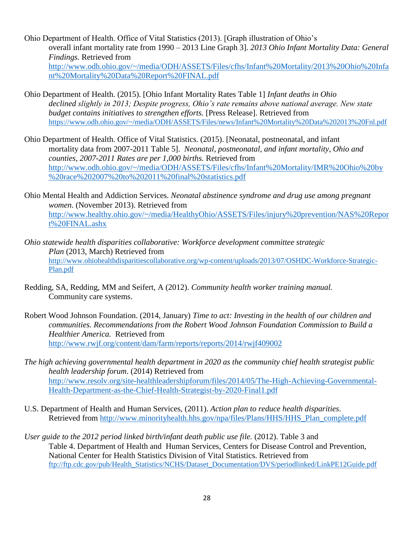- Ohio Department of Health. Office of Vital Statistics (2013). [Graph illustration of Ohio's overall infant mortality rate from 1990 – 2013 Line Graph 3]. *2013 Ohio Infant Mortality Data: General Findings.* Retrieved from [http://www.odh.ohio.gov/~/media/ODH/ASSETS/Files/cfhs/Infant%20Mortality/2013%20Ohio%20Infa](http://www.odh.ohio.gov/~/media/ODH/ASSETS/Files/cfhs/Infant%20Mortality/2013%20Ohio%20Infant%20Mortality%20Data%20Report%20FINAL.pdf) [nt%20Mortality%20Data%20Report%20FINAL.pdf](http://www.odh.ohio.gov/~/media/ODH/ASSETS/Files/cfhs/Infant%20Mortality/2013%20Ohio%20Infant%20Mortality%20Data%20Report%20FINAL.pdf)
- Ohio Department of Health. (2015). [Ohio Infant Mortality Rates Table 1] *Infant deaths in Ohio declined slightly in 2013; Despite progress, Ohio's rate remains above national average. New state budget contains initiatives to strengthen efforts.* [Press Release]. Retrieved from <https://www.odh.ohio.gov/~/media/ODH/ASSETS/Files/news/Infant%20Mortality%20Data%202013%20Fnl.pdf>
- Ohio Department of Health. Office of Vital Statistics. (2015). [Neonatal, postneonatal, and infant mortality data from 2007-2011 Table 5]. *Neonatal, postneonatal, and infant mortality, Ohio and counties, 2007-2011 Rates are per 1,000 births.* Retrieved from [http://www.odh.ohio.gov/~/media/ODH/ASSETS/Files/cfhs/Infant%20Mortality/IMR%20Ohio%20by](http://www.odh.ohio.gov/~/media/ODH/ASSETS/Files/cfhs/Infant%20Mortality/IMR%20Ohio%20by%20race%202007%20to%202011%20final%20statistics.pdf) [%20race%202007%20to%202011%20final%20statistics.pdf](http://www.odh.ohio.gov/~/media/ODH/ASSETS/Files/cfhs/Infant%20Mortality/IMR%20Ohio%20by%20race%202007%20to%202011%20final%20statistics.pdf)
- Ohio Mental Health and Addiction Services. *Neonatal abstinence syndrome and drug use among pregnant women*. (November 2013). Retrieved from [http://www.healthy.ohio.gov/~/media/HealthyOhio/ASSETS/Files/injury%20prevention/NAS%20Repor](http://www.healthy.ohio.gov/~/media/HealthyOhio/ASSETS/Files/injury%20prevention/NAS%20Report%20FINAL.ashx) [t%20FINAL.ashx](http://www.healthy.ohio.gov/~/media/HealthyOhio/ASSETS/Files/injury%20prevention/NAS%20Report%20FINAL.ashx)
- *Ohio statewide health disparities collaborative: Workforce development committee strategic Plan* (2013, March) Retrieved from [http://www.ohiohealthdisparitiescollaborative.org/wp-content/uploads/2013/07/OSHDC-Workforce-Strategic-](http://www.ohiohealthdisparitiescollaborative.org/wp-content/uploads/2013/07/OSHDC-Workforce-Strategic-Plan.pdf)[Plan.pdf](http://www.ohiohealthdisparitiescollaborative.org/wp-content/uploads/2013/07/OSHDC-Workforce-Strategic-Plan.pdf)
- Redding, SA, Redding, MM and Seifert, A (2012). *Community health worker training manual.* Community care systems.
- Robert Wood Johnson Foundation. (2014, January) *Time to act: Investing in the health of our children and communities. Recommendations from the Robert Wood Johnson Foundation Commission to Build a Healthier America.* Retrieved from <http://www.rwjf.org/content/dam/farm/reports/reports/2014/rwjf409002>
- *The high achieving governmental health department in 2020 as the community chief health strategist public health leadership forum*. (2014) Retrieved from [http://www.resolv.org/site-healthleadershipforum/files/2014/05/The-High-Achieving-Governmental-](http://www.resolv.org/site-healthleadershipforum/files/2014/05/The-High-Achieving-Governmental-Health-Department-as-the-Chief-Health-Strategist-by-2020-Final1.pdf)[Health-Department-as-the-Chief-Health-Strategist-by-2020-Final1.pdf](http://www.resolv.org/site-healthleadershipforum/files/2014/05/The-High-Achieving-Governmental-Health-Department-as-the-Chief-Health-Strategist-by-2020-Final1.pdf)
- U.S. Department of Health and Human Services, (2011). *Action plan to reduce health disparities*. Retrieved from [http://www.minorityhealth.hhs.gov/npa/files/Plans/HHS/HHS\\_Plan\\_complete.pdf](http://www.minorityhealth.hhs.gov/npa/files/Plans/HHS/HHS_Plan_complete.pdf)
- *User guide to the 2012 period linked birth/infant death public use file.* (2012). Table 3 and Table 4. Department of Health and Human Services, Centers for Disease Control and Prevention, National Center for Health Statistics Division of Vital Statistics. Retrieved from [ftp://ftp.cdc.gov/pub/Health\\_Statistics/NCHS/Dataset\\_Documentation/DVS/periodlinked/LinkPE12Guide.pdf](ftp://ftp.cdc.gov/pub/Health_Statistics/NCHS/Dataset_Documentation/DVS/periodlinked/LinkPE12Guide.pdf)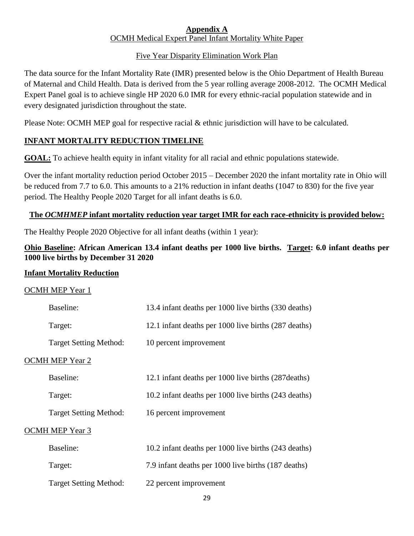#### **Appendix A** OCMH Medical Expert Panel Infant Mortality White Paper

#### Five Year Disparity Elimination Work Plan

The data source for the Infant Mortality Rate (IMR) presented below is the Ohio Department of Health Bureau of Maternal and Child Health. Data is derived from the 5 year rolling average 2008-2012. The OCMH Medical Expert Panel goal is to achieve single HP 2020 6.0 IMR for every ethnic-racial population statewide and in every designated jurisdiction throughout the state.

Please Note: OCMH MEP goal for respective racial & ethnic jurisdiction will have to be calculated.

#### **INFANT MORTALITY REDUCTION TIMELINE**

**GOAL:** To achieve health equity in infant vitality for all racial and ethnic populations statewide.

Over the infant mortality reduction period October 2015 – December 2020 the infant mortality rate in Ohio will be reduced from 7.7 to 6.0. This amounts to a 21% reduction in infant deaths (1047 to 830) for the five year period. The Healthy People 2020 Target for all infant deaths is 6.0.

#### **The** *OCMHMEP* **infant mortality reduction year target IMR for each race-ethnicity is provided below:**

The Healthy People 2020 Objective for all infant deaths (within 1 year):

#### **Ohio Baseline: African American 13.4 infant deaths per 1000 live births. Target: 6.0 infant deaths per 1000 live births by December 31 2020**

#### **Infant Mortality Reduction**

#### OCMH MEP Year 1

| Baseline:                     | 13.4 infant deaths per 1000 live births (330 deaths) |
|-------------------------------|------------------------------------------------------|
| Target:                       | 12.1 infant deaths per 1000 live births (287 deaths) |
| <b>Target Setting Method:</b> | 10 percent improvement                               |
| <b>OCMH MEP Year 2</b>        |                                                      |
| Baseline:                     | 12.1 infant deaths per 1000 live births (287 deaths) |
| Target:                       | 10.2 infant deaths per 1000 live births (243 deaths) |
| <b>Target Setting Method:</b> | 16 percent improvement                               |
| <b>OCMH MEP Year 3</b>        |                                                      |
| Baseline:                     | 10.2 infant deaths per 1000 live births (243 deaths) |
| Target:                       | 7.9 infant deaths per 1000 live births (187 deaths)  |
| <b>Target Setting Method:</b> | 22 percent improvement                               |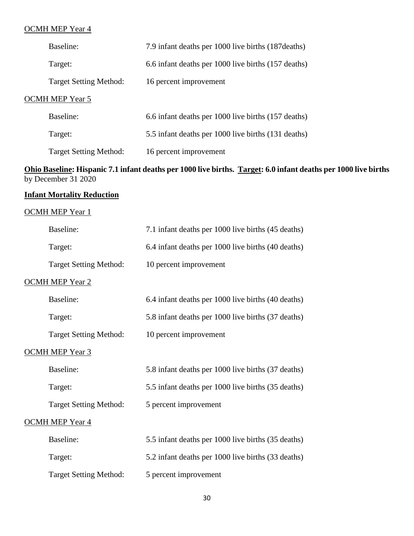#### OCMH MEP Year 4

| Baseline:                     | 7.9 infant deaths per 1000 live births (187 deaths) |  |  |  |
|-------------------------------|-----------------------------------------------------|--|--|--|
| Target:                       | 6.6 infant deaths per 1000 live births (157 deaths) |  |  |  |
| <b>Target Setting Method:</b> | 16 percent improvement                              |  |  |  |
| OCMH MEP Year 5               |                                                     |  |  |  |
| Baseline:                     | 6.6 infant deaths per 1000 live births (157 deaths) |  |  |  |
| Target:                       | 5.5 infant deaths per 1000 live births (131 deaths) |  |  |  |
| <b>Target Setting Method:</b> | 16 percent improvement                              |  |  |  |

#### **Ohio Baseline: Hispanic 7.1 infant deaths per 1000 live births. Target: 6.0 infant deaths per 1000 live births**  by December 31 2020

#### **Infant Mortality Reduction**

#### OCMH MEP Year 1

| Baseline:                     | 7.1 infant deaths per 1000 live births (45 deaths) |
|-------------------------------|----------------------------------------------------|
| Target:                       | 6.4 infant deaths per 1000 live births (40 deaths) |
| <b>Target Setting Method:</b> | 10 percent improvement                             |
| <b>OCMH MEP Year 2</b>        |                                                    |
| Baseline:                     | 6.4 infant deaths per 1000 live births (40 deaths) |
| Target:                       | 5.8 infant deaths per 1000 live births (37 deaths) |
| <b>Target Setting Method:</b> | 10 percent improvement                             |
| <b>OCMH MEP Year 3</b>        |                                                    |
| Baseline:                     | 5.8 infant deaths per 1000 live births (37 deaths) |
| Target:                       | 5.5 infant deaths per 1000 live births (35 deaths) |
| <b>Target Setting Method:</b> | 5 percent improvement                              |
| <b>OCMH MEP Year 4</b>        |                                                    |
| Baseline:                     | 5.5 infant deaths per 1000 live births (35 deaths) |
| Target:                       | 5.2 infant deaths per 1000 live births (33 deaths) |
| <b>Target Setting Method:</b> | 5 percent improvement                              |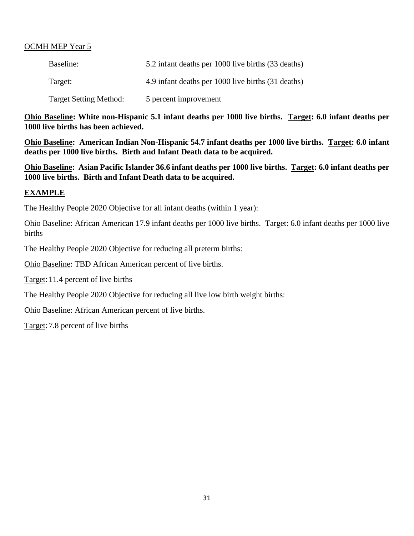#### OCMH MEP Year 5

| Baseline:                     | 5.2 infant deaths per 1000 live births (33 deaths) |
|-------------------------------|----------------------------------------------------|
| Target:                       | 4.9 infant deaths per 1000 live births (31 deaths) |
| <b>Target Setting Method:</b> | 5 percent improvement                              |

**Ohio Baseline: White non-Hispanic 5.1 infant deaths per 1000 live births. Target: 6.0 infant deaths per 1000 live births has been achieved.**

**Ohio Baseline: American Indian Non-Hispanic 54.7 infant deaths per 1000 live births. Target: 6.0 infant deaths per 1000 live births. Birth and Infant Death data to be acquired.**

**Ohio Baseline: Asian Pacific Islander 36.6 infant deaths per 1000 live births. Target: 6.0 infant deaths per 1000 live births. Birth and Infant Death data to be acquired.**

#### **EXAMPLE**

The Healthy People 2020 Objective for all infant deaths (within 1 year):

Ohio Baseline: African American 17.9 infant deaths per 1000 live births. Target: 6.0 infant deaths per 1000 live births

The Healthy People 2020 Objective for reducing all preterm births:

Ohio Baseline: TBD African American percent of live births.

Target:11.4 percent of live births

The Healthy People 2020 Objective for reducing all live low birth weight births:

Ohio Baseline: African American percent of live births.

Target:7.8 percent of live births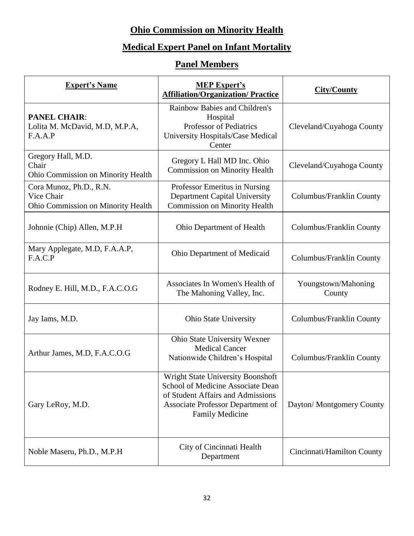## **Ohio Commission on Minority Health**

## **Medical Expert Panel on Infant Mortality**

## **Panel Members**

| <b>Expert's Name</b>                                                        | <b>MEP Expert's</b><br><b>Affiliation/Organization/ Practice</b>                                                                                                           | <b>City/County</b>            |
|-----------------------------------------------------------------------------|----------------------------------------------------------------------------------------------------------------------------------------------------------------------------|-------------------------------|
| <b>PANEL CHAIR:</b><br>Lolita M. McDavid, M.D, M.P.A,<br>F.A.A.P            | Rainbow Babies and Children's<br>Hospital<br>Professor of Pediatrics<br>University Hospitals/Case Medical<br>Center                                                        | Cleveland/Cuyahoga County     |
| Gregory Hall, M.D.<br>Chair<br><b>Ohio Commission on Minority Health</b>    | Gregory L Hall MD Inc. Ohio<br><b>Commission on Minority Health</b>                                                                                                        | Cleveland/Cuyahoga County     |
| Cora Munoz, Ph.D., R.N.<br>Vice Chair<br>Ohio Commission on Minority Health | Professor Emeritus in Nursing<br>Department Capital University<br><b>Commission on Minority Health</b>                                                                     | Columbus/Franklin County      |
| Johnnie (Chip) Allen, M.P.H.                                                | Ohio Department of Health                                                                                                                                                  | Columbus/Franklin County      |
| Mary Applegate, M.D, F.A.A.P,<br>F.A.C.P                                    | Ohio Department of Medicaid                                                                                                                                                | Columbus/Franklin County      |
| Rodney E. Hill, M.D., F.A.C.O.G                                             | Associates In Women's Health of<br>The Mahoning Valley, Inc.                                                                                                               | Youngstown/Mahoning<br>County |
| Jay Iams, M.D.                                                              | <b>Ohio State University</b>                                                                                                                                               | Columbus/Franklin County      |
| Arthur James, M.D, F.A.C.O.G                                                | Ohio State University Wexner<br><b>Medical Cancer</b><br>Nationwide Children's Hospital                                                                                    | Columbus/Franklin County      |
| Gary LeRoy, M.D.                                                            | Wright State University Boonshoft<br>School of Medicine Associate Dean<br>of Student Affairs and Admissions<br>Associate Professor Department of<br><b>Family Medicine</b> | Dayton/ Montgomery County     |
| Noble Maseru, Ph.D., M.P.H                                                  | City of Cincinnati Health<br>Department                                                                                                                                    | Cincinnati/Hamilton County    |